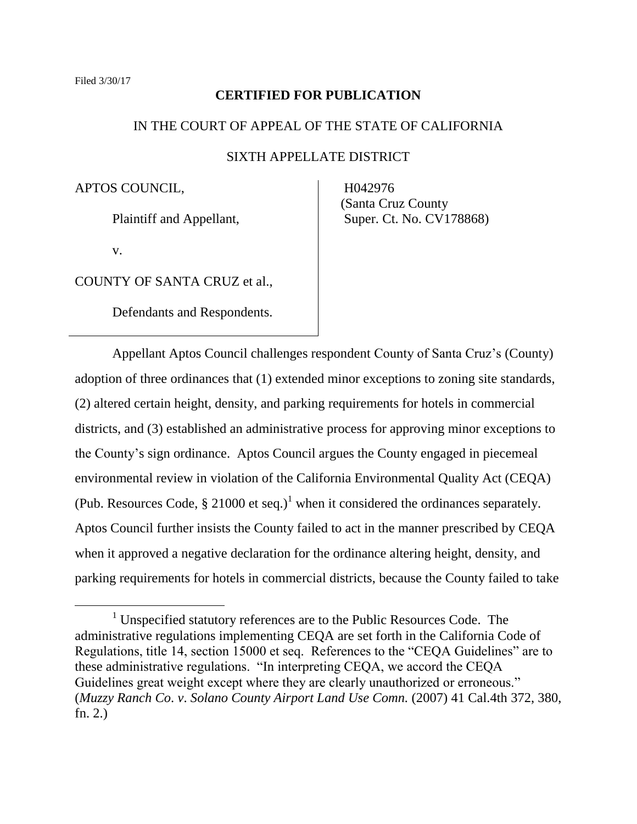# **CERTIFIED FOR PUBLICATION**

## IN THE COURT OF APPEAL OF THE STATE OF CALIFORNIA

## SIXTH APPELLATE DISTRICT

APTOS COUNCIL,

Plaintiff and Appellant,

v.

 $\overline{a}$ 

COUNTY OF SANTA CRUZ et al.,

Defendants and Respondents.

 H042976 (Santa Cruz County Super. Ct. No. CV178868)

Appellant Aptos Council challenges respondent County of Santa Cruz's (County) adoption of three ordinances that (1) extended minor exceptions to zoning site standards, (2) altered certain height, density, and parking requirements for hotels in commercial districts, and (3) established an administrative process for approving minor exceptions to the County's sign ordinance. Aptos Council argues the County engaged in piecemeal environmental review in violation of the California Environmental Quality Act (CEQA) (Pub. Resources Code,  $\S 21000$  et seq.)<sup>1</sup> when it considered the ordinances separately. Aptos Council further insists the County failed to act in the manner prescribed by CEQA when it approved a negative declaration for the ordinance altering height, density, and parking requirements for hotels in commercial districts, because the County failed to take

 $1$  Unspecified statutory references are to the Public Resources Code. The administrative regulations implementing CEQA are set forth in the California Code of Regulations, title 14, section 15000 et seq. References to the "CEQA Guidelines" are to these administrative regulations. "In interpreting CEQA, we accord the CEQA Guidelines great weight except where they are clearly unauthorized or erroneous." (*Muzzy Ranch Co*. *v*. *Solano County Airport Land Use Comn.* (2007) 41 Cal.4th 372, 380, fn. 2.)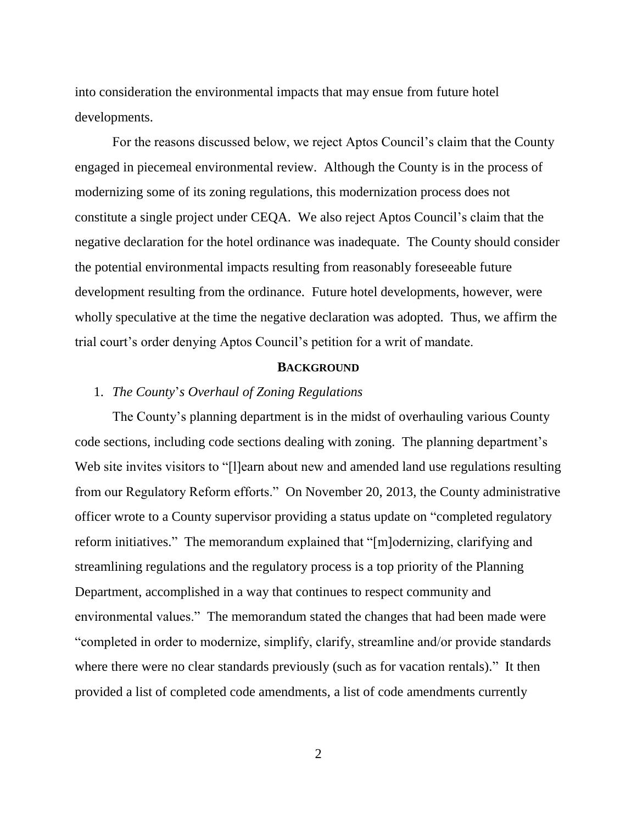into consideration the environmental impacts that may ensue from future hotel developments.

For the reasons discussed below, we reject Aptos Council's claim that the County engaged in piecemeal environmental review. Although the County is in the process of modernizing some of its zoning regulations, this modernization process does not constitute a single project under CEQA. We also reject Aptos Council's claim that the negative declaration for the hotel ordinance was inadequate. The County should consider the potential environmental impacts resulting from reasonably foreseeable future development resulting from the ordinance. Future hotel developments, however, were wholly speculative at the time the negative declaration was adopted. Thus, we affirm the trial court's order denying Aptos Council's petition for a writ of mandate.

#### **BACKGROUND**

## 1. *The County*'*s Overhaul of Zoning Regulations*

The County's planning department is in the midst of overhauling various County code sections, including code sections dealing with zoning. The planning department's Web site invites visitors to "[I]earn about new and amended land use regulations resulting from our Regulatory Reform efforts." On November 20, 2013, the County administrative officer wrote to a County supervisor providing a status update on "completed regulatory reform initiatives." The memorandum explained that "[m]odernizing, clarifying and streamlining regulations and the regulatory process is a top priority of the Planning Department, accomplished in a way that continues to respect community and environmental values." The memorandum stated the changes that had been made were "completed in order to modernize, simplify, clarify, streamline and/or provide standards where there were no clear standards previously (such as for vacation rentals)." It then provided a list of completed code amendments, a list of code amendments currently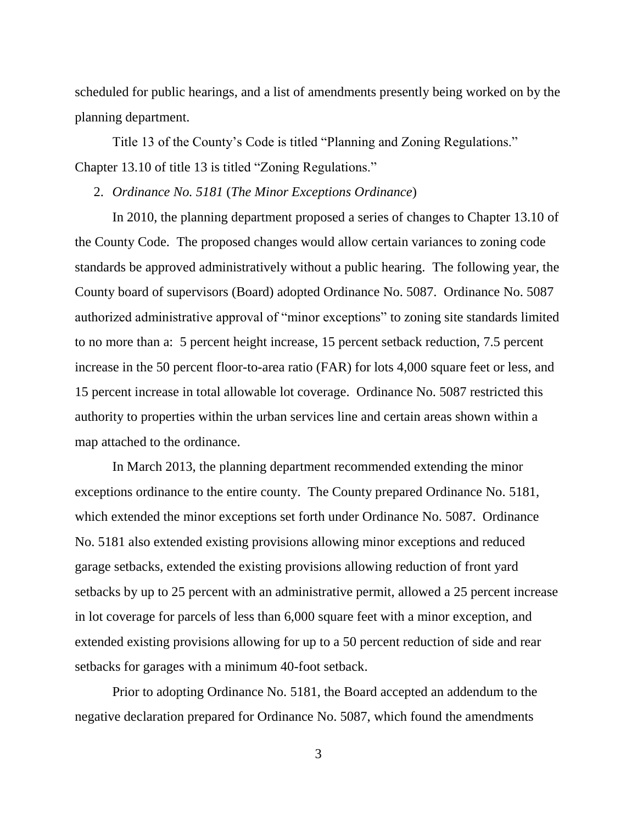scheduled for public hearings, and a list of amendments presently being worked on by the planning department.

Title 13 of the County's Code is titled "Planning and Zoning Regulations." Chapter 13.10 of title 13 is titled "Zoning Regulations."

2. *Ordinance No. 5181* (*The Minor Exceptions Ordinance*)

In 2010, the planning department proposed a series of changes to Chapter 13.10 of the County Code. The proposed changes would allow certain variances to zoning code standards be approved administratively without a public hearing. The following year, the County board of supervisors (Board) adopted Ordinance No. 5087. Ordinance No. 5087 authorized administrative approval of "minor exceptions" to zoning site standards limited to no more than a: 5 percent height increase, 15 percent setback reduction, 7.5 percent increase in the 50 percent floor-to-area ratio (FAR) for lots 4,000 square feet or less, and 15 percent increase in total allowable lot coverage. Ordinance No. 5087 restricted this authority to properties within the urban services line and certain areas shown within a map attached to the ordinance.

In March 2013, the planning department recommended extending the minor exceptions ordinance to the entire county. The County prepared Ordinance No. 5181, which extended the minor exceptions set forth under Ordinance No. 5087. Ordinance No. 5181 also extended existing provisions allowing minor exceptions and reduced garage setbacks, extended the existing provisions allowing reduction of front yard setbacks by up to 25 percent with an administrative permit, allowed a 25 percent increase in lot coverage for parcels of less than 6,000 square feet with a minor exception, and extended existing provisions allowing for up to a 50 percent reduction of side and rear setbacks for garages with a minimum 40-foot setback.

Prior to adopting Ordinance No. 5181, the Board accepted an addendum to the negative declaration prepared for Ordinance No. 5087, which found the amendments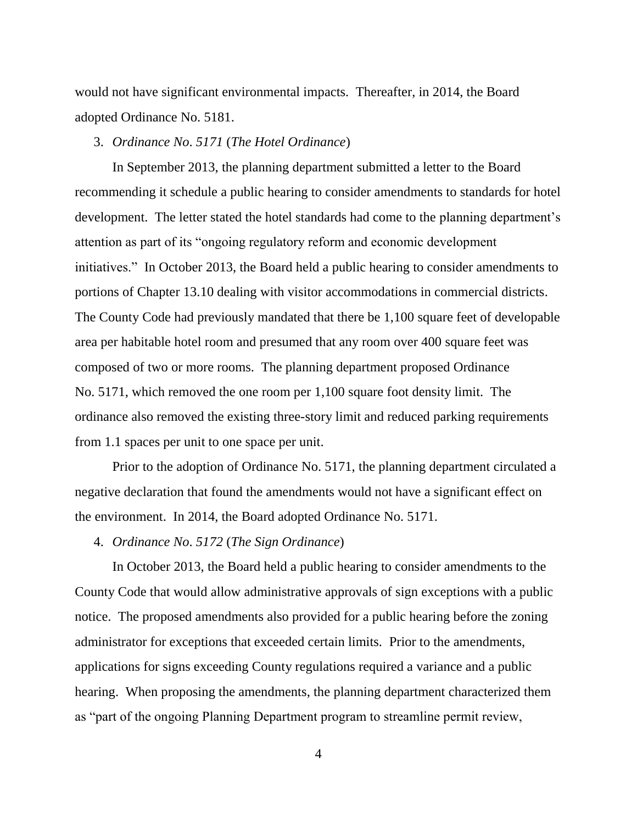would not have significant environmental impacts. Thereafter, in 2014, the Board adopted Ordinance No. 5181.

#### 3. *Ordinance No*. *5171* (*The Hotel Ordinance*)

In September 2013, the planning department submitted a letter to the Board recommending it schedule a public hearing to consider amendments to standards for hotel development. The letter stated the hotel standards had come to the planning department's attention as part of its "ongoing regulatory reform and economic development initiatives." In October 2013, the Board held a public hearing to consider amendments to portions of Chapter 13.10 dealing with visitor accommodations in commercial districts. The County Code had previously mandated that there be 1,100 square feet of developable area per habitable hotel room and presumed that any room over 400 square feet was composed of two or more rooms. The planning department proposed Ordinance No. 5171, which removed the one room per 1,100 square foot density limit. The ordinance also removed the existing three-story limit and reduced parking requirements from 1.1 spaces per unit to one space per unit.

Prior to the adoption of Ordinance No. 5171, the planning department circulated a negative declaration that found the amendments would not have a significant effect on the environment. In 2014, the Board adopted Ordinance No. 5171.

4. *Ordinance No*. *5172* (*The Sign Ordinance*)

In October 2013, the Board held a public hearing to consider amendments to the County Code that would allow administrative approvals of sign exceptions with a public notice. The proposed amendments also provided for a public hearing before the zoning administrator for exceptions that exceeded certain limits. Prior to the amendments, applications for signs exceeding County regulations required a variance and a public hearing. When proposing the amendments, the planning department characterized them as "part of the ongoing Planning Department program to streamline permit review,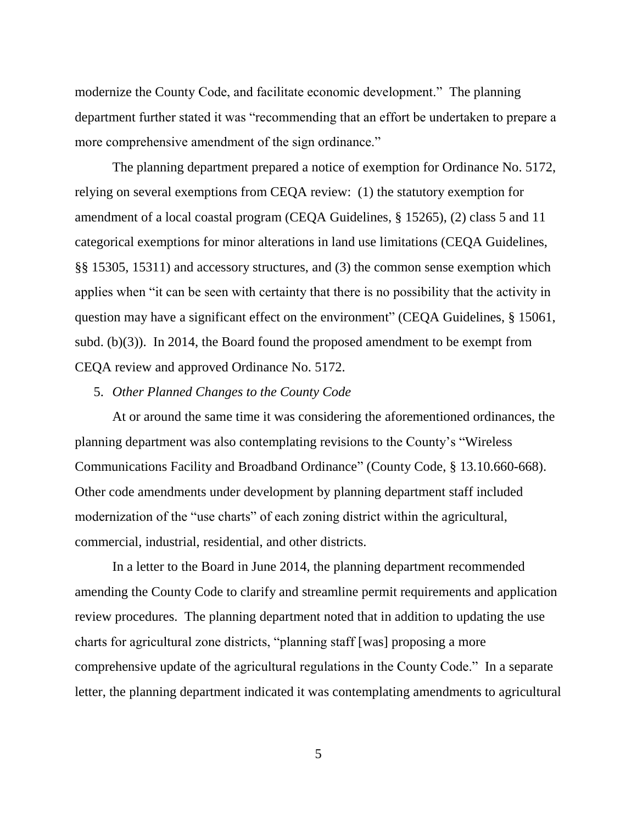modernize the County Code, and facilitate economic development." The planning department further stated it was "recommending that an effort be undertaken to prepare a more comprehensive amendment of the sign ordinance."

The planning department prepared a notice of exemption for Ordinance No. 5172, relying on several exemptions from CEQA review: (1) the statutory exemption for amendment of a local coastal program (CEQA Guidelines, § 15265), (2) class 5 and 11 categorical exemptions for minor alterations in land use limitations (CEQA Guidelines, §§ 15305, 15311) and accessory structures, and (3) the common sense exemption which applies when "it can be seen with certainty that there is no possibility that the activity in question may have a significant effect on the environment" (CEQA Guidelines, § 15061, subd. (b)(3)). In 2014, the Board found the proposed amendment to be exempt from CEQA review and approved Ordinance No. 5172.

# 5. *Other Planned Changes to the County Code*

At or around the same time it was considering the aforementioned ordinances, the planning department was also contemplating revisions to the County's "Wireless Communications Facility and Broadband Ordinance" (County Code, § 13.10.660-668). Other code amendments under development by planning department staff included modernization of the "use charts" of each zoning district within the agricultural, commercial, industrial, residential, and other districts.

In a letter to the Board in June 2014, the planning department recommended amending the County Code to clarify and streamline permit requirements and application review procedures. The planning department noted that in addition to updating the use charts for agricultural zone districts, "planning staff [was] proposing a more comprehensive update of the agricultural regulations in the County Code." In a separate letter, the planning department indicated it was contemplating amendments to agricultural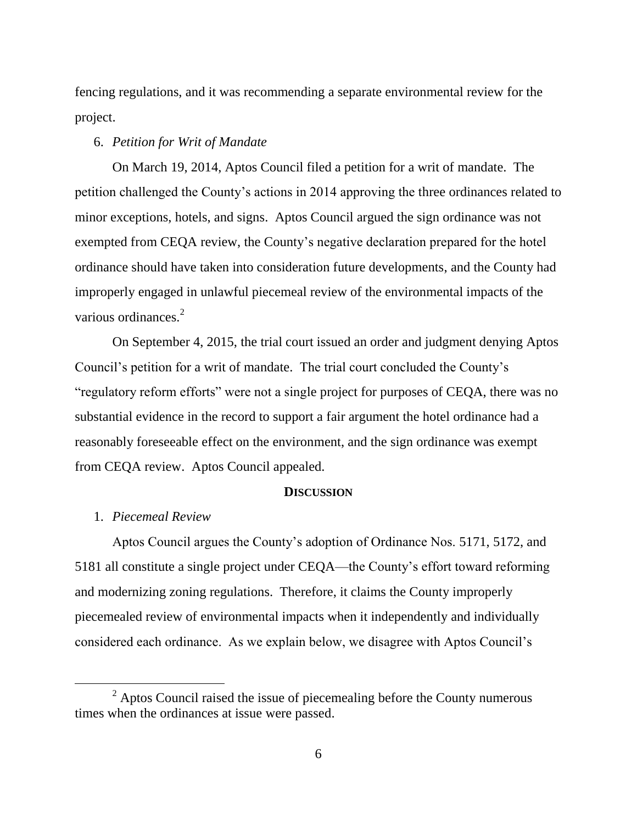fencing regulations, and it was recommending a separate environmental review for the project.

#### 6. *Petition for Writ of Mandate*

On March 19, 2014, Aptos Council filed a petition for a writ of mandate. The petition challenged the County's actions in 2014 approving the three ordinances related to minor exceptions, hotels, and signs. Aptos Council argued the sign ordinance was not exempted from CEQA review, the County's negative declaration prepared for the hotel ordinance should have taken into consideration future developments, and the County had improperly engaged in unlawful piecemeal review of the environmental impacts of the various ordinances.<sup>2</sup>

On September 4, 2015, the trial court issued an order and judgment denying Aptos Council's petition for a writ of mandate. The trial court concluded the County's "regulatory reform efforts" were not a single project for purposes of CEQA, there was no substantial evidence in the record to support a fair argument the hotel ordinance had a reasonably foreseeable effect on the environment, and the sign ordinance was exempt from CEQA review. Aptos Council appealed.

## **DISCUSSION**

## 1. *Piecemeal Review*

Aptos Council argues the County's adoption of Ordinance Nos. 5171, 5172, and 5181 all constitute a single project under CEQA—the County's effort toward reforming and modernizing zoning regulations. Therefore, it claims the County improperly piecemealed review of environmental impacts when it independently and individually considered each ordinance. As we explain below, we disagree with Aptos Council's

 $2$  Aptos Council raised the issue of piecemealing before the County numerous times when the ordinances at issue were passed.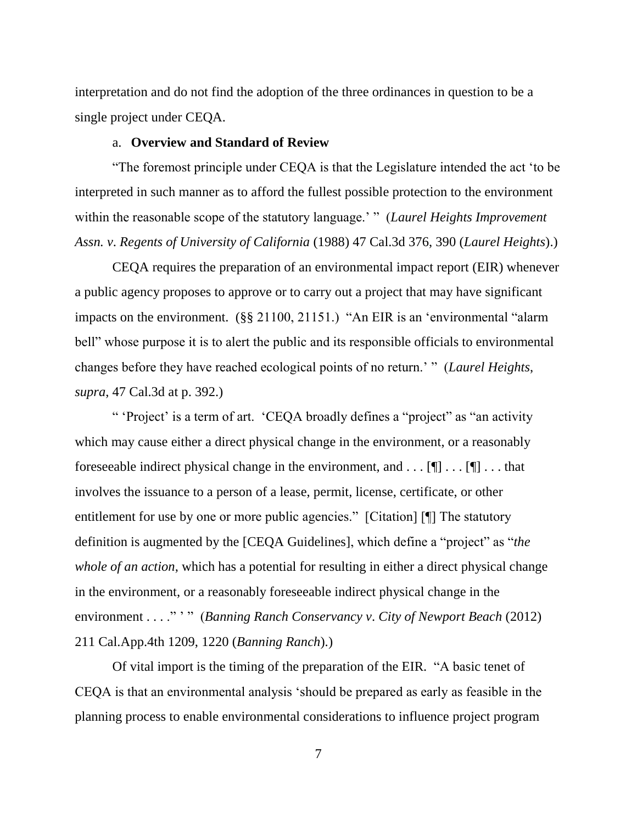interpretation and do not find the adoption of the three ordinances in question to be a single project under CEQA.

#### a. **Overview and Standard of Review**

"The foremost principle under CEQA is that the Legislature intended the act 'to be interpreted in such manner as to afford the fullest possible protection to the environment within the reasonable scope of the statutory language.' " (*Laurel Heights Improvement Assn. v*. *Regents of University of California* (1988) 47 Cal.3d 376, 390 (*Laurel Heights*).)

CEQA requires the preparation of an environmental impact report (EIR) whenever a public agency proposes to approve or to carry out a project that may have significant impacts on the environment. (§§ 21100, 21151.) "An EIR is an 'environmental "alarm bell" whose purpose it is to alert the public and its responsible officials to environmental changes before they have reached ecological points of no return.' " (*Laurel Heights*, *supra*, 47 Cal.3d at p. 392.)

" 'Project' is a term of art. 'CEQA broadly defines a "project" as "an activity which may cause either a direct physical change in the environment, or a reasonably foreseeable indirect physical change in the environment, and  $\dots$  [ $\blacksquare$ ]  $\dots$  that involves the issuance to a person of a lease, permit, license, certificate, or other entitlement for use by one or more public agencies." [Citation] [¶] The statutory definition is augmented by the [CEQA Guidelines], which define a "project" as "*the whole of an action*, which has a potential for resulting in either a direct physical change in the environment, or a reasonably foreseeable indirect physical change in the environment . . . ." ' " (*Banning Ranch Conservancy v*. *City of Newport Beach* (2012) 211 Cal.App.4th 1209, 1220 (*Banning Ranch*).)

Of vital import is the timing of the preparation of the EIR. "A basic tenet of CEQA is that an environmental analysis 'should be prepared as early as feasible in the planning process to enable environmental considerations to influence project program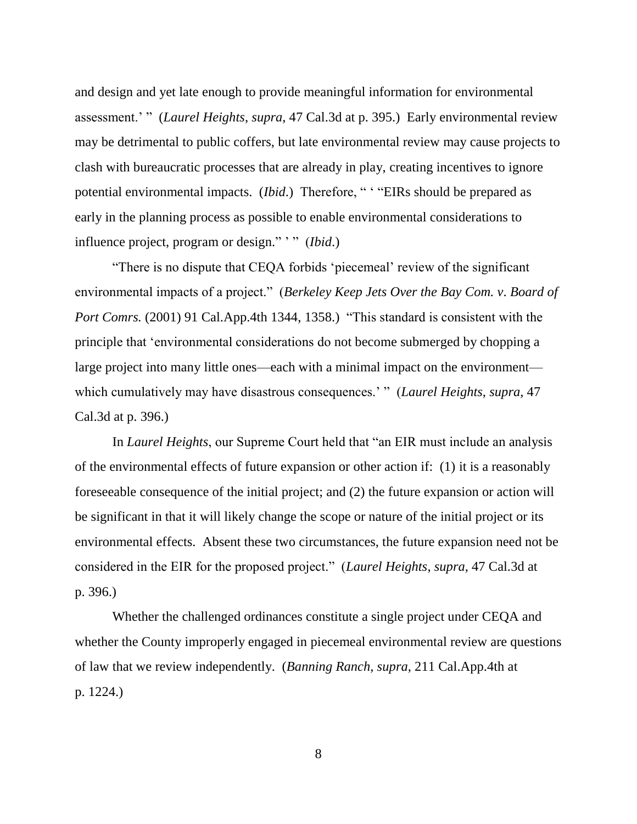and design and yet late enough to provide meaningful information for environmental assessment.' " (*Laurel Heights*, *supra*, 47 Cal.3d at p. 395.) Early environmental review may be detrimental to public coffers, but late environmental review may cause projects to clash with bureaucratic processes that are already in play, creating incentives to ignore potential environmental impacts. (*Ibid*.) Therefore, " ' "EIRs should be prepared as early in the planning process as possible to enable environmental considerations to influence project, program or design." ' " (*Ibid*.)

"There is no dispute that CEQA forbids 'piecemeal' review of the significant environmental impacts of a project." (*Berkeley Keep Jets Over the Bay Com. v*. *Board of Port Comrs.* (2001) 91 Cal.App.4th 1344, 1358.) "This standard is consistent with the principle that 'environmental considerations do not become submerged by chopping a large project into many little ones—each with a minimal impact on the environment which cumulatively may have disastrous consequences.' " (*Laurel Heights*, *supra*, 47 Cal.3d at p. 396.)

In *Laurel Heights*, our Supreme Court held that "an EIR must include an analysis of the environmental effects of future expansion or other action if: (1) it is a reasonably foreseeable consequence of the initial project; and (2) the future expansion or action will be significant in that it will likely change the scope or nature of the initial project or its environmental effects. Absent these two circumstances, the future expansion need not be considered in the EIR for the proposed project." (*Laurel Heights*, *supra*, 47 Cal.3d at p. 396.)

Whether the challenged ordinances constitute a single project under CEQA and whether the County improperly engaged in piecemeal environmental review are questions of law that we review independently. (*Banning Ranch*, *supra*, 211 Cal.App.4th at p. 1224.)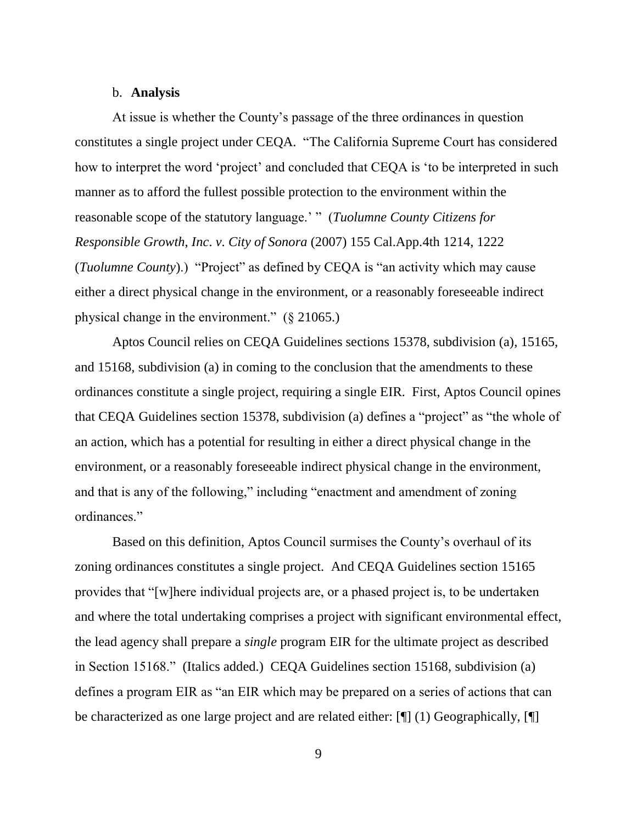#### b. **Analysis**

At issue is whether the County's passage of the three ordinances in question constitutes a single project under CEQA. "The California Supreme Court has considered how to interpret the word 'project' and concluded that CEQA is 'to be interpreted in such manner as to afford the fullest possible protection to the environment within the reasonable scope of the statutory language.' " (*Tuolumne County Citizens for Responsible Growth*, *Inc*. *v*. *City of Sonora* (2007) 155 Cal.App.4th 1214, 1222 (*Tuolumne County*).) "Project" as defined by CEQA is "an activity which may cause either a direct physical change in the environment, or a reasonably foreseeable indirect physical change in the environment." (§ 21065.)

Aptos Council relies on CEQA Guidelines sections 15378, subdivision (a), 15165, and 15168, subdivision (a) in coming to the conclusion that the amendments to these ordinances constitute a single project, requiring a single EIR. First, Aptos Council opines that CEQA Guidelines section 15378, subdivision (a) defines a "project" as "the whole of an action, which has a potential for resulting in either a direct physical change in the environment, or a reasonably foreseeable indirect physical change in the environment, and that is any of the following," including "enactment and amendment of zoning ordinances."

Based on this definition, Aptos Council surmises the County's overhaul of its zoning ordinances constitutes a single project. And CEQA Guidelines section 15165 provides that "[w]here individual projects are, or a phased project is, to be undertaken and where the total undertaking comprises a project with significant environmental effect, the lead agency shall prepare a *single* program EIR for the ultimate project as described in Section 15168." (Italics added.) CEQA Guidelines section 15168, subdivision (a) defines a program EIR as "an EIR which may be prepared on a series of actions that can be characterized as one large project and are related either:  $[\P]$  (1) Geographically,  $[\P]$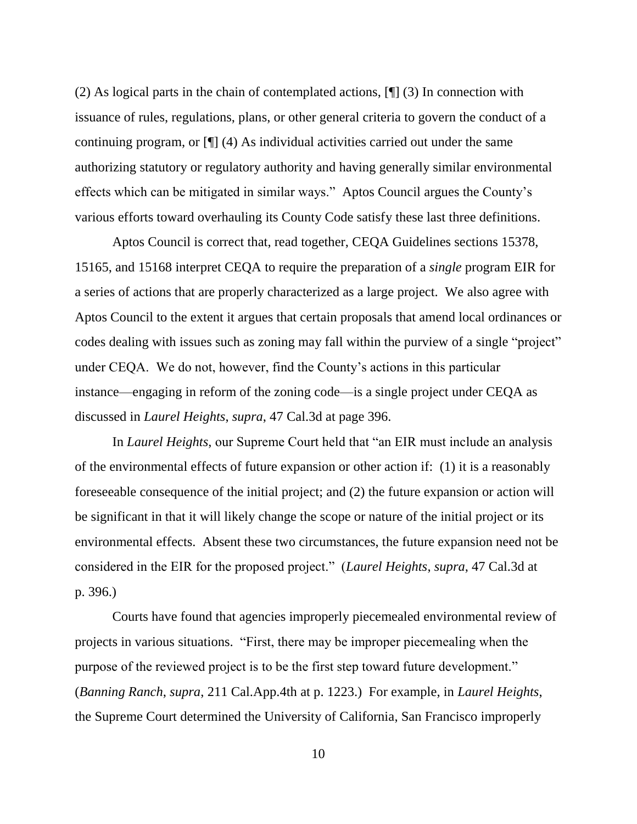(2) As logical parts in the chain of contemplated actions, [¶] (3) In connection with issuance of rules, regulations, plans, or other general criteria to govern the conduct of a continuing program, or [¶] (4) As individual activities carried out under the same authorizing statutory or regulatory authority and having generally similar environmental effects which can be mitigated in similar ways." Aptos Council argues the County's various efforts toward overhauling its County Code satisfy these last three definitions.

Aptos Council is correct that, read together, CEQA Guidelines sections 15378, 15165, and 15168 interpret CEQA to require the preparation of a *single* program EIR for a series of actions that are properly characterized as a large project. We also agree with Aptos Council to the extent it argues that certain proposals that amend local ordinances or codes dealing with issues such as zoning may fall within the purview of a single "project" under CEQA. We do not, however, find the County's actions in this particular instance—engaging in reform of the zoning code—is a single project under CEQA as discussed in *Laurel Heights*, *supra*, 47 Cal.3d at page 396.

In *Laurel Heights*, our Supreme Court held that "an EIR must include an analysis of the environmental effects of future expansion or other action if: (1) it is a reasonably foreseeable consequence of the initial project; and (2) the future expansion or action will be significant in that it will likely change the scope or nature of the initial project or its environmental effects. Absent these two circumstances, the future expansion need not be considered in the EIR for the proposed project." (*Laurel Heights*, *supra*, 47 Cal.3d at p. 396.)

Courts have found that agencies improperly piecemealed environmental review of projects in various situations. "First, there may be improper piecemealing when the purpose of the reviewed project is to be the first step toward future development." (*Banning Ranch*, *supra*, 211 Cal.App.4th at p. 1223.) For example, in *Laurel Heights*, the Supreme Court determined the University of California, San Francisco improperly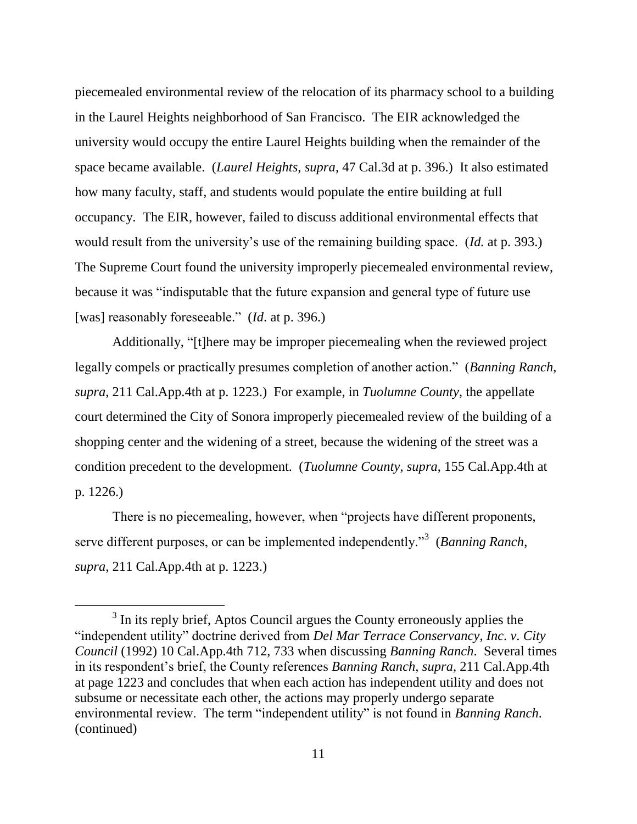piecemealed environmental review of the relocation of its pharmacy school to a building in the Laurel Heights neighborhood of San Francisco. The EIR acknowledged the university would occupy the entire Laurel Heights building when the remainder of the space became available. (*Laurel Heights*, *supra*, 47 Cal.3d at p. 396.) It also estimated how many faculty, staff, and students would populate the entire building at full occupancy. The EIR, however, failed to discuss additional environmental effects that would result from the university's use of the remaining building space. (*Id.* at p. 393.) The Supreme Court found the university improperly piecemealed environmental review, because it was "indisputable that the future expansion and general type of future use [was] reasonably foreseeable." (*Id*. at p. 396.)

Additionally, "[t]here may be improper piecemealing when the reviewed project legally compels or practically presumes completion of another action." (*Banning Ranch*, *supra*, 211 Cal.App.4th at p. 1223.) For example, in *Tuolumne County*, the appellate court determined the City of Sonora improperly piecemealed review of the building of a shopping center and the widening of a street, because the widening of the street was a condition precedent to the development. (*Tuolumne County*, *supra*, 155 Cal.App.4th at p. 1226.)

There is no piecemealing, however, when "projects have different proponents, serve different purposes, or can be implemented independently."<sup>3</sup> (*Banning Ranch*, *supra*, 211 Cal.App.4th at p. 1223.)

 $\overline{a}$ 

 $3$  In its reply brief, Aptos Council argues the County erroneously applies the "independent utility" doctrine derived from *Del Mar Terrace Conservancy*, *Inc*. *v*. *City Council* (1992) 10 Cal.App.4th 712, 733 when discussing *Banning Ranch*. Several times in its respondent's brief, the County references *Banning Ranch*, *supra*, 211 Cal.App.4th at page 1223 and concludes that when each action has independent utility and does not subsume or necessitate each other, the actions may properly undergo separate environmental review. The term "independent utility" is not found in *Banning Ranch*. (continued)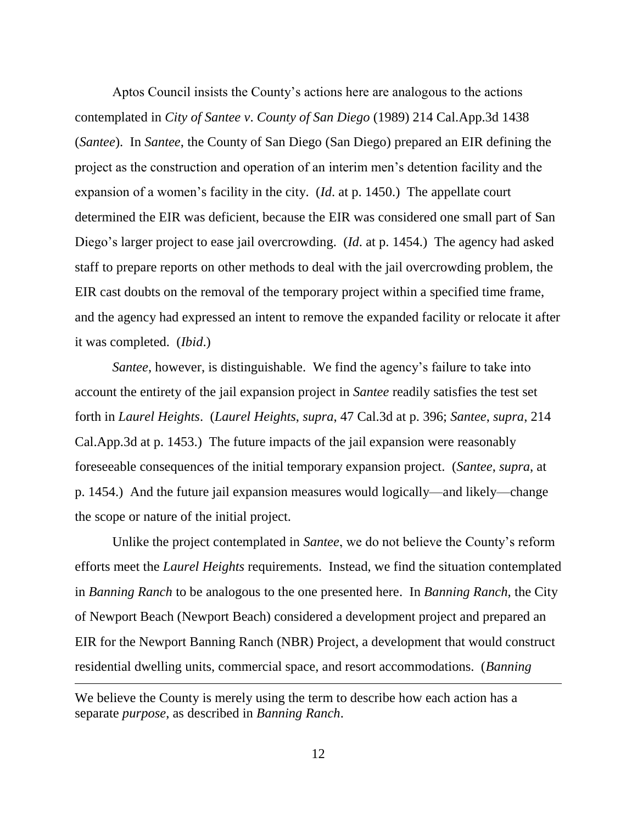Aptos Council insists the County's actions here are analogous to the actions contemplated in *City of Santee v*. *County of San Diego* (1989) 214 Cal.App.3d 1438 (*Santee*). In *Santee*, the County of San Diego (San Diego) prepared an EIR defining the project as the construction and operation of an interim men's detention facility and the expansion of a women's facility in the city. (*Id*. at p. 1450.) The appellate court determined the EIR was deficient, because the EIR was considered one small part of San Diego's larger project to ease jail overcrowding. (*Id*. at p. 1454.) The agency had asked staff to prepare reports on other methods to deal with the jail overcrowding problem, the EIR cast doubts on the removal of the temporary project within a specified time frame, and the agency had expressed an intent to remove the expanded facility or relocate it after it was completed. (*Ibid*.)

*Santee*, however, is distinguishable. We find the agency's failure to take into account the entirety of the jail expansion project in *Santee* readily satisfies the test set forth in *Laurel Heights*. (*Laurel Heights*, *supra*, 47 Cal.3d at p. 396; *Santee*, *supra*, 214 Cal.App.3d at p. 1453.) The future impacts of the jail expansion were reasonably foreseeable consequences of the initial temporary expansion project. (*Santee*, *supra*, at p. 1454.) And the future jail expansion measures would logically—and likely—change the scope or nature of the initial project.

Unlike the project contemplated in *Santee*, we do not believe the County's reform efforts meet the *Laurel Heights* requirements. Instead, we find the situation contemplated in *Banning Ranch* to be analogous to the one presented here. In *Banning Ranch*, the City of Newport Beach (Newport Beach) considered a development project and prepared an EIR for the Newport Banning Ranch (NBR) Project, a development that would construct residential dwelling units, commercial space, and resort accommodations. (*Banning* 

We believe the County is merely using the term to describe how each action has a separate *purpose*, as described in *Banning Ranch*.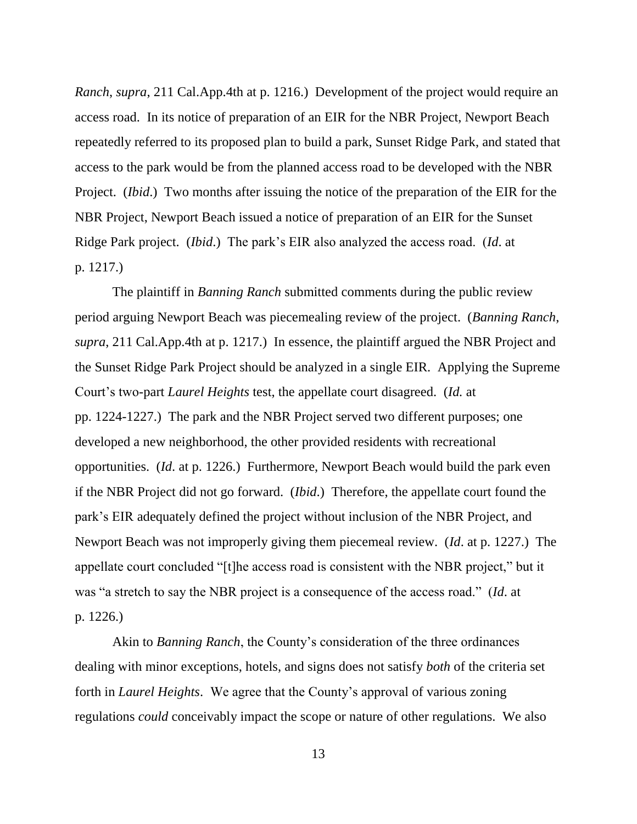*Ranch*, *supra*, 211 Cal.App.4th at p. 1216.) Development of the project would require an access road. In its notice of preparation of an EIR for the NBR Project, Newport Beach repeatedly referred to its proposed plan to build a park, Sunset Ridge Park, and stated that access to the park would be from the planned access road to be developed with the NBR Project. (*Ibid*.) Two months after issuing the notice of the preparation of the EIR for the NBR Project, Newport Beach issued a notice of preparation of an EIR for the Sunset Ridge Park project. (*Ibid*.) The park's EIR also analyzed the access road. (*Id*. at p. 1217.)

The plaintiff in *Banning Ranch* submitted comments during the public review period arguing Newport Beach was piecemealing review of the project. (*Banning Ranch*, *supra*, 211 Cal.App.4th at p. 1217.) In essence, the plaintiff argued the NBR Project and the Sunset Ridge Park Project should be analyzed in a single EIR. Applying the Supreme Court's two-part *Laurel Heights* test, the appellate court disagreed. (*Id.* at pp. 1224-1227.) The park and the NBR Project served two different purposes; one developed a new neighborhood, the other provided residents with recreational opportunities. (*Id*. at p. 1226.) Furthermore, Newport Beach would build the park even if the NBR Project did not go forward. (*Ibid*.) Therefore, the appellate court found the park's EIR adequately defined the project without inclusion of the NBR Project, and Newport Beach was not improperly giving them piecemeal review. (*Id*. at p. 1227.) The appellate court concluded "[t]he access road is consistent with the NBR project," but it was "a stretch to say the NBR project is a consequence of the access road." (*Id*. at p. 1226.)

Akin to *Banning Ranch*, the County's consideration of the three ordinances dealing with minor exceptions, hotels, and signs does not satisfy *both* of the criteria set forth in *Laurel Heights*. We agree that the County's approval of various zoning regulations *could* conceivably impact the scope or nature of other regulations. We also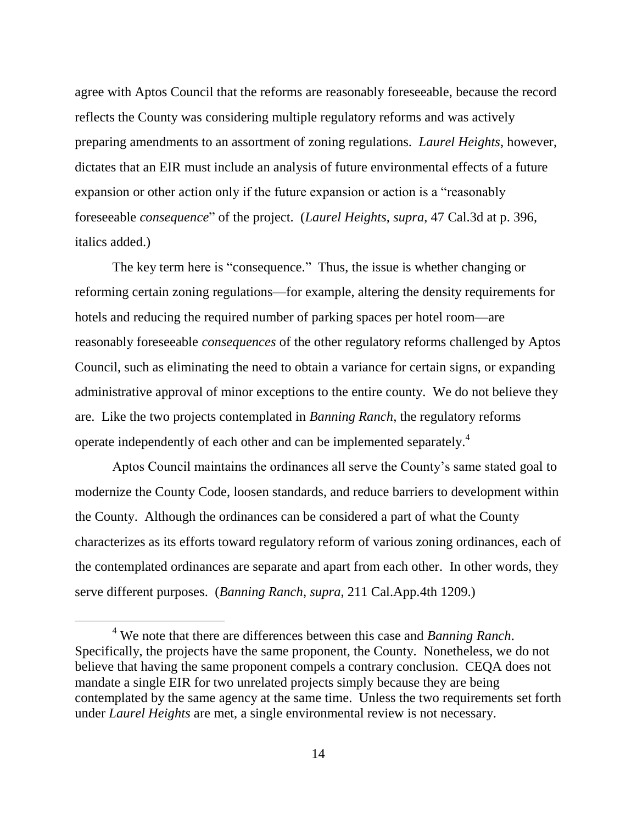agree with Aptos Council that the reforms are reasonably foreseeable, because the record reflects the County was considering multiple regulatory reforms and was actively preparing amendments to an assortment of zoning regulations. *Laurel Heights*, however, dictates that an EIR must include an analysis of future environmental effects of a future expansion or other action only if the future expansion or action is a "reasonably foreseeable *consequence*" of the project. (*Laurel Heights*, *supra*, 47 Cal.3d at p. 396, italics added.)

The key term here is "consequence." Thus, the issue is whether changing or reforming certain zoning regulations—for example, altering the density requirements for hotels and reducing the required number of parking spaces per hotel room—are reasonably foreseeable *consequences* of the other regulatory reforms challenged by Aptos Council, such as eliminating the need to obtain a variance for certain signs, or expanding administrative approval of minor exceptions to the entire county. We do not believe they are. Like the two projects contemplated in *Banning Ranch*, the regulatory reforms operate independently of each other and can be implemented separately.<sup>4</sup>

Aptos Council maintains the ordinances all serve the County's same stated goal to modernize the County Code, loosen standards, and reduce barriers to development within the County. Although the ordinances can be considered a part of what the County characterizes as its efforts toward regulatory reform of various zoning ordinances, each of the contemplated ordinances are separate and apart from each other. In other words, they serve different purposes. (*Banning Ranch*, *supra*, 211 Cal.App.4th 1209.)

<sup>4</sup> We note that there are differences between this case and *Banning Ranch*. Specifically, the projects have the same proponent, the County. Nonetheless, we do not believe that having the same proponent compels a contrary conclusion. CEQA does not mandate a single EIR for two unrelated projects simply because they are being contemplated by the same agency at the same time. Unless the two requirements set forth under *Laurel Heights* are met, a single environmental review is not necessary.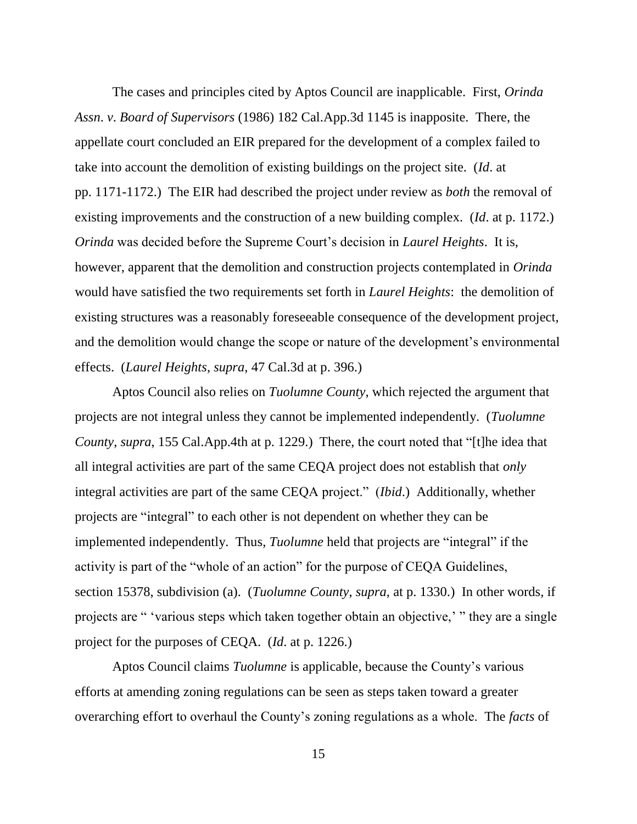The cases and principles cited by Aptos Council are inapplicable. First, *Orinda Assn*. *v*. *Board of Supervisors* (1986) 182 Cal.App.3d 1145 is inapposite. There, the appellate court concluded an EIR prepared for the development of a complex failed to take into account the demolition of existing buildings on the project site. (*Id*. at pp. 1171-1172.) The EIR had described the project under review as *both* the removal of existing improvements and the construction of a new building complex. (*Id*. at p. 1172.) *Orinda* was decided before the Supreme Court's decision in *Laurel Heights*. It is, however, apparent that the demolition and construction projects contemplated in *Orinda* would have satisfied the two requirements set forth in *Laurel Heights*: the demolition of existing structures was a reasonably foreseeable consequence of the development project, and the demolition would change the scope or nature of the development's environmental effects. (*Laurel Heights*, *supra*, 47 Cal.3d at p. 396.)

Aptos Council also relies on *Tuolumne County*, which rejected the argument that projects are not integral unless they cannot be implemented independently. (*Tuolumne County*, *supra*, 155 Cal.App.4th at p. 1229.) There, the court noted that "[t]he idea that all integral activities are part of the same CEQA project does not establish that *only* integral activities are part of the same CEQA project." (*Ibid*.) Additionally, whether projects are "integral" to each other is not dependent on whether they can be implemented independently. Thus, *Tuolumne* held that projects are "integral" if the activity is part of the "whole of an action" for the purpose of CEQA Guidelines, section 15378, subdivision (a). (*Tuolumne County*, *supra*, at p. 1330.) In other words, if projects are " 'various steps which taken together obtain an objective,' " they are a single project for the purposes of CEQA. (*Id*. at p. 1226.)

Aptos Council claims *Tuolumne* is applicable, because the County's various efforts at amending zoning regulations can be seen as steps taken toward a greater overarching effort to overhaul the County's zoning regulations as a whole. The *facts* of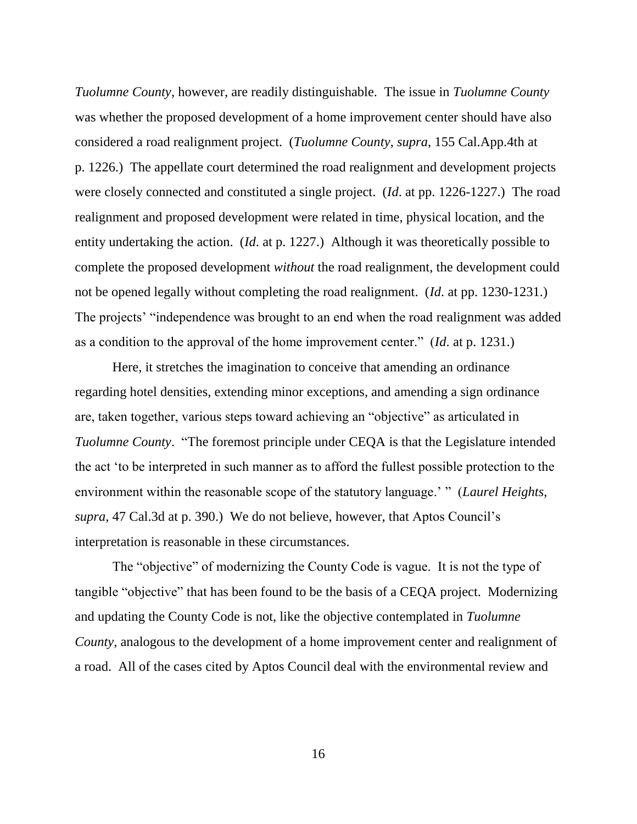*Tuolumne County*, however, are readily distinguishable. The issue in *Tuolumne County* was whether the proposed development of a home improvement center should have also considered a road realignment project. (*Tuolumne County*, *supra*, 155 Cal.App.4th at p. 1226.) The appellate court determined the road realignment and development projects were closely connected and constituted a single project. (*Id*. at pp. 1226-1227.) The road realignment and proposed development were related in time, physical location, and the entity undertaking the action. (*Id*. at p. 1227.) Although it was theoretically possible to complete the proposed development *without* the road realignment, the development could not be opened legally without completing the road realignment. (*Id*. at pp. 1230-1231.) The projects' "independence was brought to an end when the road realignment was added as a condition to the approval of the home improvement center." (*Id*. at p. 1231.)

Here, it stretches the imagination to conceive that amending an ordinance regarding hotel densities, extending minor exceptions, and amending a sign ordinance are, taken together, various steps toward achieving an "objective" as articulated in *Tuolumne County*. "The foremost principle under CEQA is that the Legislature intended the act 'to be interpreted in such manner as to afford the fullest possible protection to the environment within the reasonable scope of the statutory language.' " (*Laurel Heights*, *supra*, 47 Cal.3d at p. 390.) We do not believe, however, that Aptos Council's interpretation is reasonable in these circumstances.

The "objective" of modernizing the County Code is vague. It is not the type of tangible "objective" that has been found to be the basis of a CEQA project. Modernizing and updating the County Code is not, like the objective contemplated in *Tuolumne County*, analogous to the development of a home improvement center and realignment of a road. All of the cases cited by Aptos Council deal with the environmental review and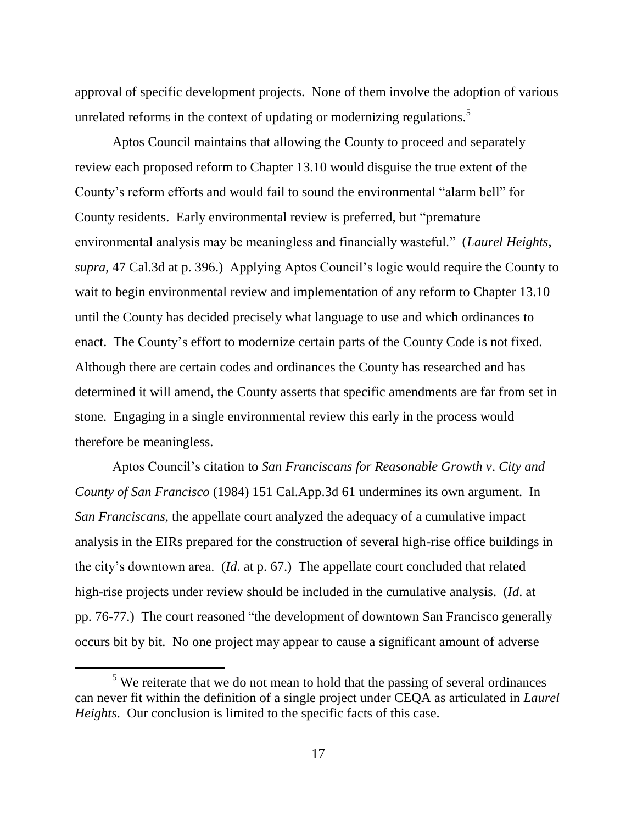approval of specific development projects. None of them involve the adoption of various unrelated reforms in the context of updating or modernizing regulations.<sup>5</sup>

Aptos Council maintains that allowing the County to proceed and separately review each proposed reform to Chapter 13.10 would disguise the true extent of the County's reform efforts and would fail to sound the environmental "alarm bell" for County residents. Early environmental review is preferred, but "premature environmental analysis may be meaningless and financially wasteful." (*Laurel Heights*, *supra*, 47 Cal.3d at p. 396.) Applying Aptos Council's logic would require the County to wait to begin environmental review and implementation of any reform to Chapter 13.10 until the County has decided precisely what language to use and which ordinances to enact. The County's effort to modernize certain parts of the County Code is not fixed. Although there are certain codes and ordinances the County has researched and has determined it will amend, the County asserts that specific amendments are far from set in stone. Engaging in a single environmental review this early in the process would therefore be meaningless.

Aptos Council's citation to *San Franciscans for Reasonable Growth v*. *City and County of San Francisco* (1984) 151 Cal.App.3d 61 undermines its own argument. In *San Franciscans*, the appellate court analyzed the adequacy of a cumulative impact analysis in the EIRs prepared for the construction of several high-rise office buildings in the city's downtown area. (*Id*. at p. 67.) The appellate court concluded that related high-rise projects under review should be included in the cumulative analysis. (*Id*. at pp. 76-77.) The court reasoned "the development of downtown San Francisco generally occurs bit by bit. No one project may appear to cause a significant amount of adverse

 $<sup>5</sup>$  We reiterate that we do not mean to hold that the passing of several ordinances</sup> can never fit within the definition of a single project under CEQA as articulated in *Laurel Heights*. Our conclusion is limited to the specific facts of this case.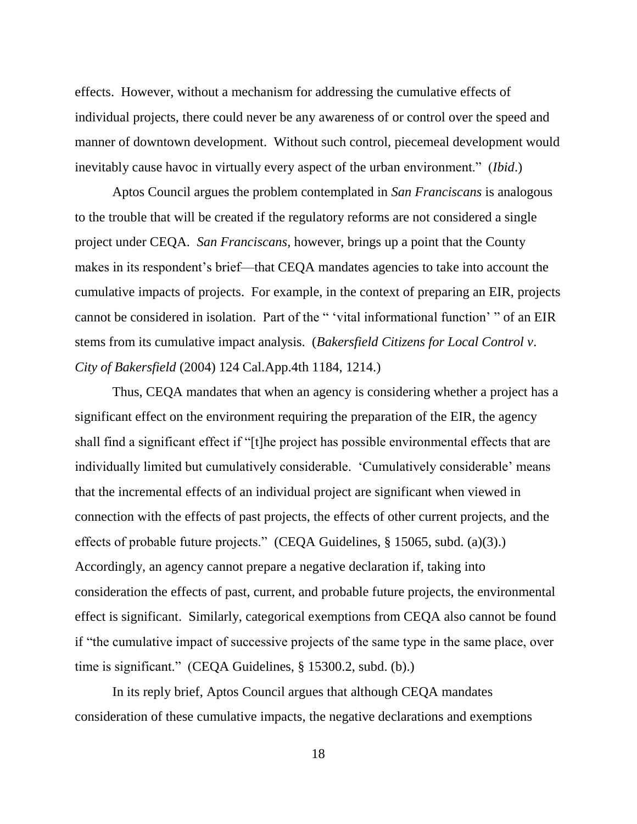effects. However, without a mechanism for addressing the cumulative effects of individual projects, there could never be any awareness of or control over the speed and manner of downtown development. Without such control, piecemeal development would inevitably cause havoc in virtually every aspect of the urban environment." (*Ibid*.)

Aptos Council argues the problem contemplated in *San Franciscans* is analogous to the trouble that will be created if the regulatory reforms are not considered a single project under CEQA. *San Franciscans*, however, brings up a point that the County makes in its respondent's brief—that CEQA mandates agencies to take into account the cumulative impacts of projects. For example, in the context of preparing an EIR, projects cannot be considered in isolation. Part of the " 'vital informational function' " of an EIR stems from its cumulative impact analysis. (*Bakersfield Citizens for Local Control v*. *City of Bakersfield* (2004) 124 Cal.App.4th 1184, 1214.)

Thus, CEQA mandates that when an agency is considering whether a project has a significant effect on the environment requiring the preparation of the EIR, the agency shall find a significant effect if "[t]he project has possible environmental effects that are individually limited but cumulatively considerable. 'Cumulatively considerable' means that the incremental effects of an individual project are significant when viewed in connection with the effects of past projects, the effects of other current projects, and the effects of probable future projects." (CEQA Guidelines, § 15065, subd. (a)(3).) Accordingly, an agency cannot prepare a negative declaration if, taking into consideration the effects of past, current, and probable future projects, the environmental effect is significant. Similarly, categorical exemptions from CEQA also cannot be found if "the cumulative impact of successive projects of the same type in the same place, over time is significant." (CEQA Guidelines, § 15300.2, subd. (b).)

In its reply brief, Aptos Council argues that although CEQA mandates consideration of these cumulative impacts, the negative declarations and exemptions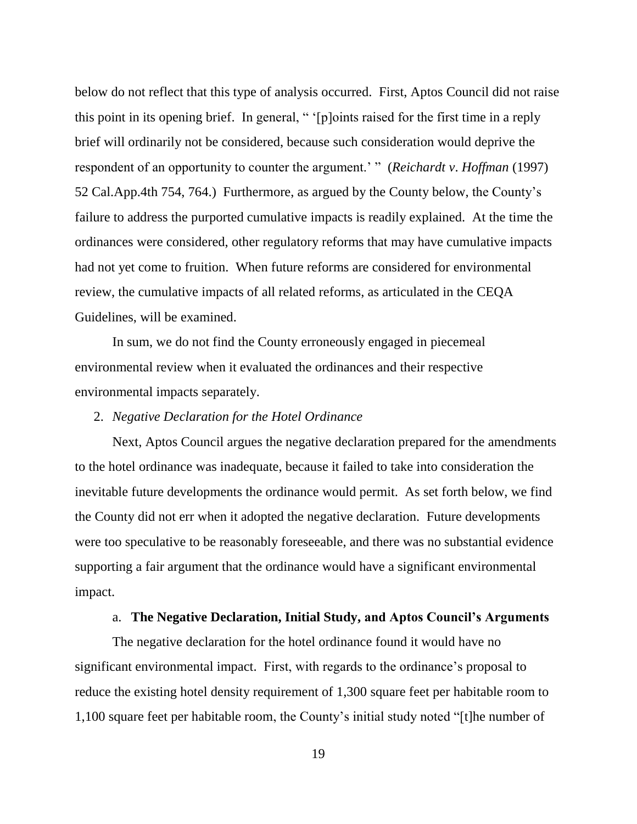below do not reflect that this type of analysis occurred. First, Aptos Council did not raise this point in its opening brief. In general, " '[p]oints raised for the first time in a reply brief will ordinarily not be considered, because such consideration would deprive the respondent of an opportunity to counter the argument.' " (*Reichardt v*. *Hoffman* (1997) 52 Cal.App.4th 754, 764.) Furthermore, as argued by the County below, the County's failure to address the purported cumulative impacts is readily explained. At the time the ordinances were considered, other regulatory reforms that may have cumulative impacts had not yet come to fruition. When future reforms are considered for environmental review, the cumulative impacts of all related reforms, as articulated in the CEQA Guidelines, will be examined.

In sum, we do not find the County erroneously engaged in piecemeal environmental review when it evaluated the ordinances and their respective environmental impacts separately.

## 2. *Negative Declaration for the Hotel Ordinance*

Next, Aptos Council argues the negative declaration prepared for the amendments to the hotel ordinance was inadequate, because it failed to take into consideration the inevitable future developments the ordinance would permit. As set forth below, we find the County did not err when it adopted the negative declaration. Future developments were too speculative to be reasonably foreseeable, and there was no substantial evidence supporting a fair argument that the ordinance would have a significant environmental impact.

#### a. **The Negative Declaration, Initial Study, and Aptos Council's Arguments**

The negative declaration for the hotel ordinance found it would have no significant environmental impact. First, with regards to the ordinance's proposal to reduce the existing hotel density requirement of 1,300 square feet per habitable room to 1,100 square feet per habitable room, the County's initial study noted "[t]he number of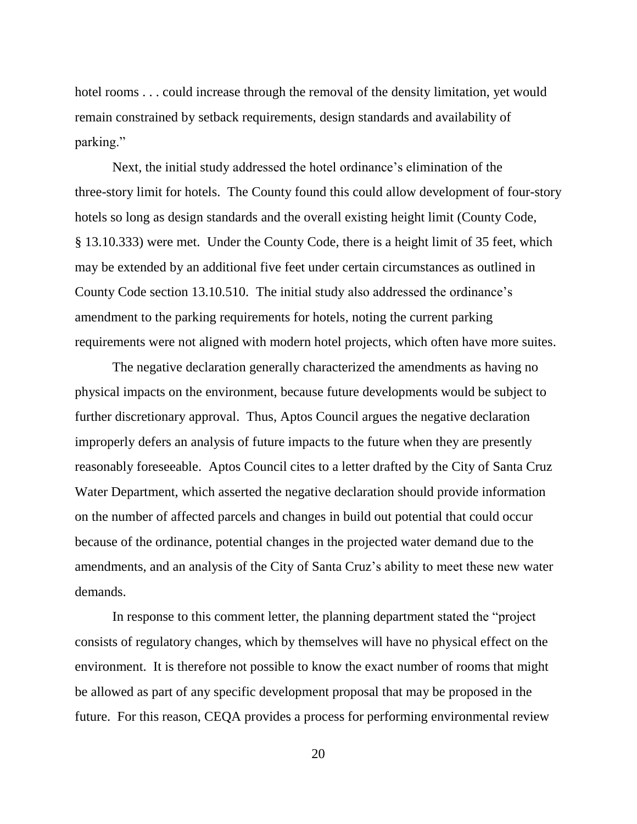hotel rooms . . . could increase through the removal of the density limitation, yet would remain constrained by setback requirements, design standards and availability of parking."

Next, the initial study addressed the hotel ordinance's elimination of the three-story limit for hotels. The County found this could allow development of four-story hotels so long as design standards and the overall existing height limit (County Code, § 13.10.333) were met. Under the County Code, there is a height limit of 35 feet, which may be extended by an additional five feet under certain circumstances as outlined in County Code section 13.10.510. The initial study also addressed the ordinance's amendment to the parking requirements for hotels, noting the current parking requirements were not aligned with modern hotel projects, which often have more suites.

The negative declaration generally characterized the amendments as having no physical impacts on the environment, because future developments would be subject to further discretionary approval. Thus, Aptos Council argues the negative declaration improperly defers an analysis of future impacts to the future when they are presently reasonably foreseeable. Aptos Council cites to a letter drafted by the City of Santa Cruz Water Department, which asserted the negative declaration should provide information on the number of affected parcels and changes in build out potential that could occur because of the ordinance, potential changes in the projected water demand due to the amendments, and an analysis of the City of Santa Cruz's ability to meet these new water demands.

In response to this comment letter, the planning department stated the "project consists of regulatory changes, which by themselves will have no physical effect on the environment. It is therefore not possible to know the exact number of rooms that might be allowed as part of any specific development proposal that may be proposed in the future. For this reason, CEQA provides a process for performing environmental review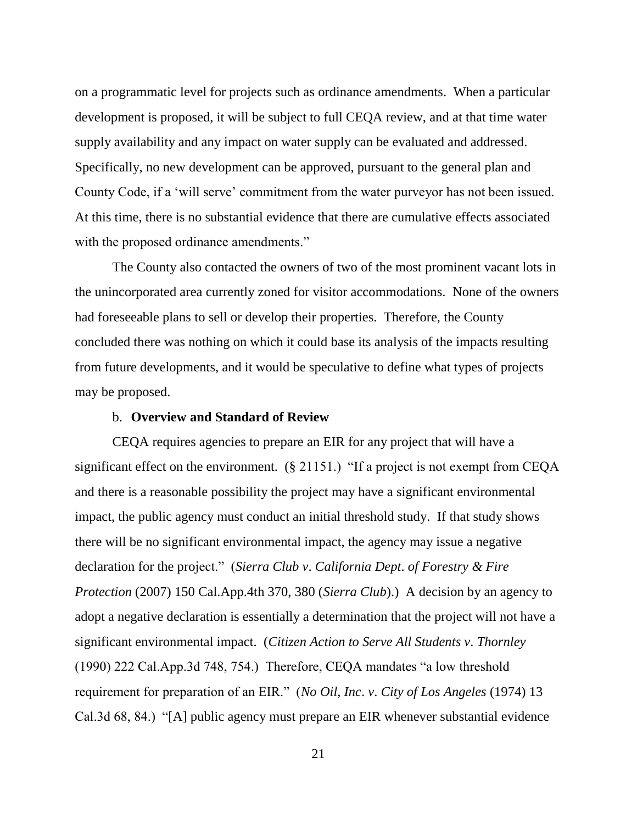on a programmatic level for projects such as ordinance amendments. When a particular development is proposed, it will be subject to full CEQA review, and at that time water supply availability and any impact on water supply can be evaluated and addressed. Specifically, no new development can be approved, pursuant to the general plan and County Code, if a 'will serve' commitment from the water purveyor has not been issued. At this time, there is no substantial evidence that there are cumulative effects associated with the proposed ordinance amendments."

The County also contacted the owners of two of the most prominent vacant lots in the unincorporated area currently zoned for visitor accommodations. None of the owners had foreseeable plans to sell or develop their properties. Therefore, the County concluded there was nothing on which it could base its analysis of the impacts resulting from future developments, and it would be speculative to define what types of projects may be proposed.

## b. **Overview and Standard of Review**

CEQA requires agencies to prepare an EIR for any project that will have a significant effect on the environment. (§ 21151.) "If a project is not exempt from CEQA and there is a reasonable possibility the project may have a significant environmental impact, the public agency must conduct an initial threshold study. If that study shows there will be no significant environmental impact, the agency may issue a negative declaration for the project." (*Sierra Club v*. *California Dept*. *of Forestry & Fire Protection* (2007) 150 Cal.App.4th 370, 380 (*Sierra Club*).) A decision by an agency to adopt a negative declaration is essentially a determination that the project will not have a significant environmental impact. (*Citizen Action to Serve All Students v*. *Thornley* (1990) 222 Cal.App.3d 748, 754.) Therefore, CEQA mandates "a low threshold requirement for preparation of an EIR." (*No Oil*, *Inc*. *v*. *City of Los Angeles* (1974) 13 Cal.3d 68, 84.) "[A] public agency must prepare an EIR whenever substantial evidence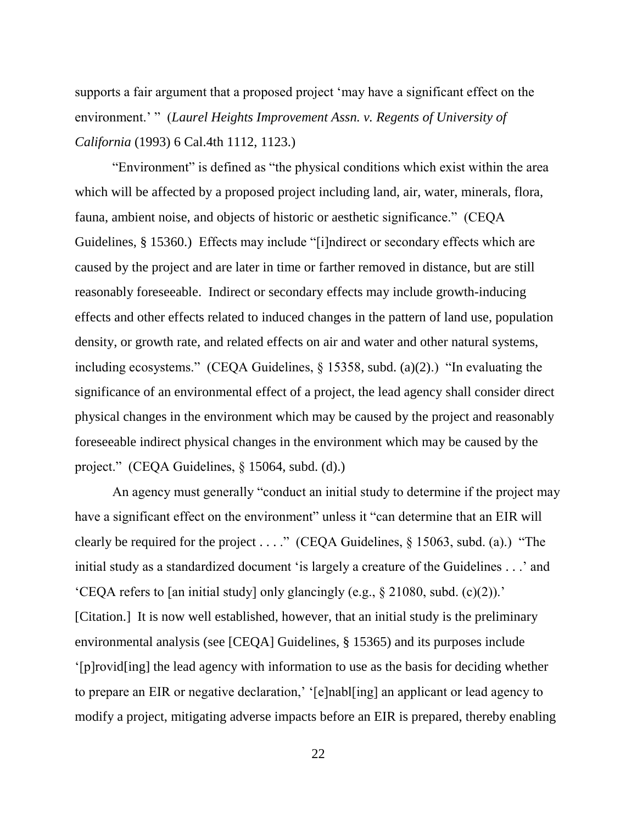supports a fair argument that a proposed project 'may have a significant effect on the environment.' " (*Laurel Heights Improvement Assn. v. Regents of University of California* (1993) 6 Cal.4th 1112, 1123.)

"Environment" is defined as "the physical conditions which exist within the area which will be affected by a proposed project including land, air, water, minerals, flora, fauna, ambient noise, and objects of historic or aesthetic significance." (CEQA Guidelines, § 15360.) Effects may include "[i]ndirect or secondary effects which are caused by the project and are later in time or farther removed in distance, but are still reasonably foreseeable. Indirect or secondary effects may include growth-inducing effects and other effects related to induced changes in the pattern of land use, population density, or growth rate, and related effects on air and water and other natural systems, including ecosystems." (CEQA Guidelines, § 15358, subd. (a)(2).) "In evaluating the significance of an environmental effect of a project, the lead agency shall consider direct physical changes in the environment which may be caused by the project and reasonably foreseeable indirect physical changes in the environment which may be caused by the project." (CEQA Guidelines, § 15064, subd. (d).)

An agency must generally "conduct an initial study to determine if the project may have a significant effect on the environment" unless it "can determine that an EIR will clearly be required for the project . . . ." (CEQA Guidelines,  $\S$  15063, subd. (a).) "The initial study as a standardized document 'is largely a creature of the Guidelines . . .' and 'CEQA refers to [an initial study] only glancingly (e.g., § 21080, subd. (c)(2)).' [Citation.] It is now well established, however, that an initial study is the preliminary environmental analysis (see [CEQA] Guidelines, § 15365) and its purposes include '[p]rovid[ing] the lead agency with information to use as the basis for deciding whether to prepare an EIR or negative declaration,' '[e]nabl[ing] an applicant or lead agency to modify a project, mitigating adverse impacts before an EIR is prepared, thereby enabling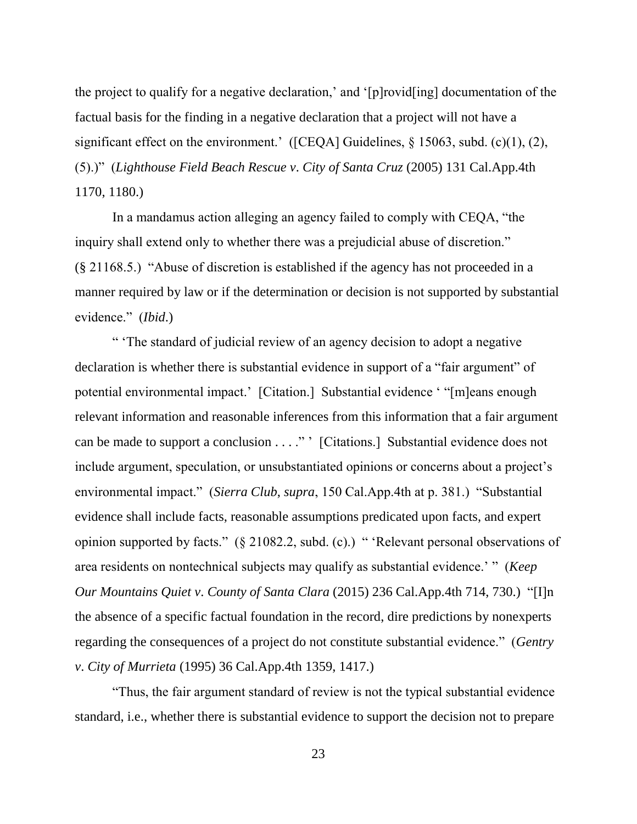the project to qualify for a negative declaration,' and '[p]rovid[ing] documentation of the factual basis for the finding in a negative declaration that a project will not have a significant effect on the environment.' ([CEQA] Guidelines,  $\S$  15063, subd. (c)(1), (2), (5).)" (*Lighthouse Field Beach Rescue v*. *City of Santa Cruz* (2005) 131 Cal.App.4th 1170, 1180.)

In a mandamus action alleging an agency failed to comply with CEQA, "the inquiry shall extend only to whether there was a prejudicial abuse of discretion." (§ 21168.5.) "Abuse of discretion is established if the agency has not proceeded in a manner required by law or if the determination or decision is not supported by substantial evidence." (*Ibid*.)

" 'The standard of judicial review of an agency decision to adopt a negative declaration is whether there is substantial evidence in support of a "fair argument" of potential environmental impact.' [Citation.] Substantial evidence ' "[m]eans enough relevant information and reasonable inferences from this information that a fair argument can be made to support a conclusion . . . ." ' [Citations.] Substantial evidence does not include argument, speculation, or unsubstantiated opinions or concerns about a project's environmental impact." (*Sierra Club*, *supra*, 150 Cal.App.4th at p. 381.) "Substantial evidence shall include facts, reasonable assumptions predicated upon facts, and expert opinion supported by facts." (§ 21082.2, subd. (c).) " 'Relevant personal observations of area residents on nontechnical subjects may qualify as substantial evidence.' " (*Keep Our Mountains Quiet v*. *County of Santa Clara* (2015) 236 Cal.App.4th 714, 730.) "[I]n the absence of a specific factual foundation in the record, dire predictions by nonexperts regarding the consequences of a project do not constitute substantial evidence." (*Gentry v*. *City of Murrieta* (1995) 36 Cal.App.4th 1359, 1417.)

"Thus, the fair argument standard of review is not the typical substantial evidence standard, i.e., whether there is substantial evidence to support the decision not to prepare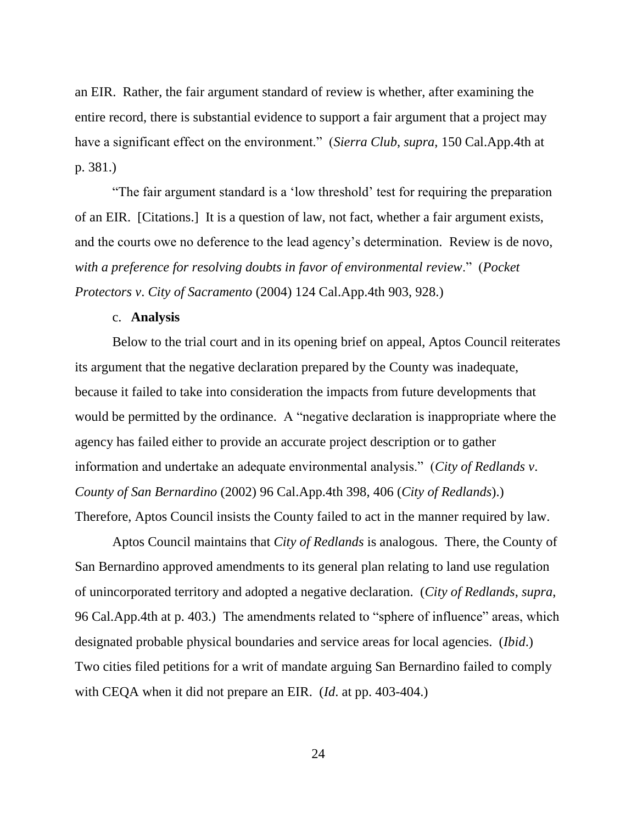an EIR. Rather, the fair argument standard of review is whether, after examining the entire record, there is substantial evidence to support a fair argument that a project may have a significant effect on the environment." (*Sierra Club*, *supra*, 150 Cal.App.4th at p. 381.)

"The fair argument standard is a 'low threshold' test for requiring the preparation of an EIR. [Citations.] It is a question of law, not fact, whether a fair argument exists, and the courts owe no deference to the lead agency's determination. Review is de novo, *with a preference for resolving doubts in favor of environmental review*." (*Pocket Protectors v*. *City of Sacramento* (2004) 124 Cal.App.4th 903, 928.)

# c. **Analysis**

Below to the trial court and in its opening brief on appeal, Aptos Council reiterates its argument that the negative declaration prepared by the County was inadequate, because it failed to take into consideration the impacts from future developments that would be permitted by the ordinance. A "negative declaration is inappropriate where the agency has failed either to provide an accurate project description or to gather information and undertake an adequate environmental analysis." (*City of Redlands v*. *County of San Bernardino* (2002) 96 Cal.App.4th 398, 406 (*City of Redlands*).) Therefore, Aptos Council insists the County failed to act in the manner required by law.

Aptos Council maintains that *City of Redlands* is analogous. There, the County of San Bernardino approved amendments to its general plan relating to land use regulation of unincorporated territory and adopted a negative declaration. (*City of Redlands*, *supra*, 96 Cal.App.4th at p. 403.) The amendments related to "sphere of influence" areas, which designated probable physical boundaries and service areas for local agencies. (*Ibid*.) Two cities filed petitions for a writ of mandate arguing San Bernardino failed to comply with CEQA when it did not prepare an EIR. (*Id*. at pp. 403-404.)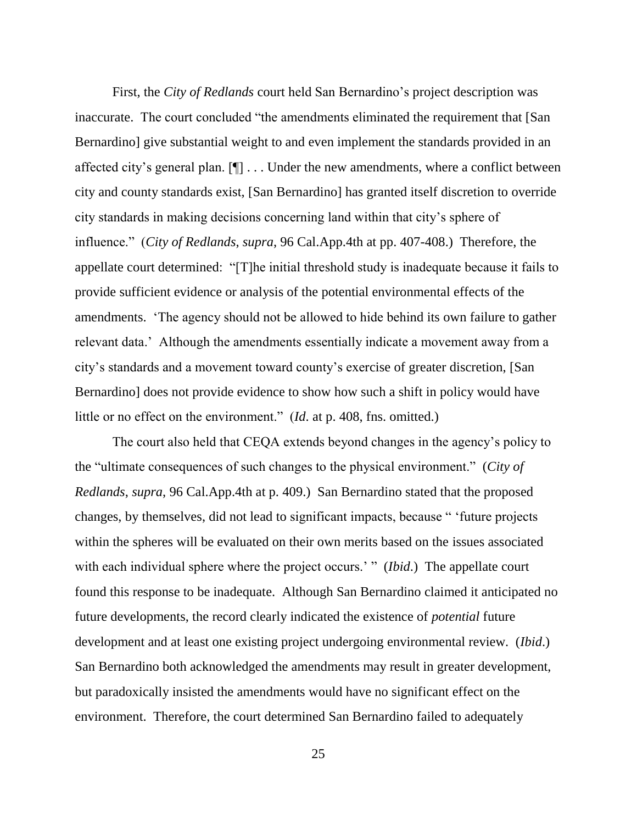First, the *City of Redlands* court held San Bernardino's project description was inaccurate. The court concluded "the amendments eliminated the requirement that [San Bernardino] give substantial weight to and even implement the standards provided in an affected city's general plan. [¶] . . . Under the new amendments, where a conflict between city and county standards exist, [San Bernardino] has granted itself discretion to override city standards in making decisions concerning land within that city's sphere of influence." (*City of Redlands*, *supra*, 96 Cal.App.4th at pp. 407-408.) Therefore, the appellate court determined: "[T]he initial threshold study is inadequate because it fails to provide sufficient evidence or analysis of the potential environmental effects of the amendments. 'The agency should not be allowed to hide behind its own failure to gather relevant data.' Although the amendments essentially indicate a movement away from a city's standards and a movement toward county's exercise of greater discretion, [San Bernardino] does not provide evidence to show how such a shift in policy would have little or no effect on the environment." (*Id*. at p. 408, fns. omitted.)

The court also held that CEQA extends beyond changes in the agency's policy to the "ultimate consequences of such changes to the physical environment." (*City of Redlands*, *supra*, 96 Cal.App.4th at p. 409.) San Bernardino stated that the proposed changes, by themselves, did not lead to significant impacts, because " 'future projects within the spheres will be evaluated on their own merits based on the issues associated with each individual sphere where the project occurs.' " *(Ibid.)* The appellate court found this response to be inadequate. Although San Bernardino claimed it anticipated no future developments, the record clearly indicated the existence of *potential* future development and at least one existing project undergoing environmental review. (*Ibid*.) San Bernardino both acknowledged the amendments may result in greater development, but paradoxically insisted the amendments would have no significant effect on the environment. Therefore, the court determined San Bernardino failed to adequately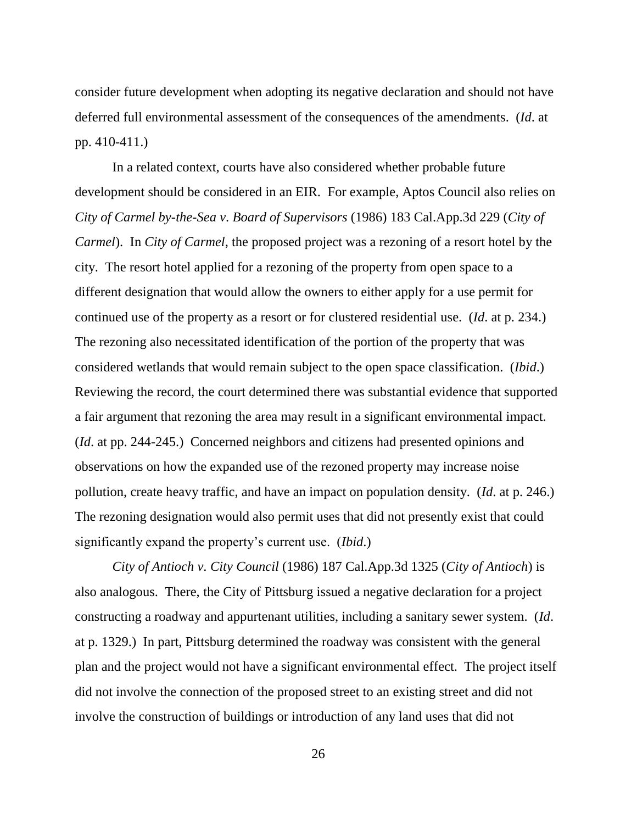consider future development when adopting its negative declaration and should not have deferred full environmental assessment of the consequences of the amendments. (*Id*. at pp. 410-411.)

In a related context, courts have also considered whether probable future development should be considered in an EIR. For example, Aptos Council also relies on *City of Carmel by-the-Sea v*. *Board of Supervisors* (1986) 183 Cal.App.3d 229 (*City of Carmel*). In *City of Carmel*, the proposed project was a rezoning of a resort hotel by the city. The resort hotel applied for a rezoning of the property from open space to a different designation that would allow the owners to either apply for a use permit for continued use of the property as a resort or for clustered residential use. (*Id*. at p. 234.) The rezoning also necessitated identification of the portion of the property that was considered wetlands that would remain subject to the open space classification. (*Ibid*.) Reviewing the record, the court determined there was substantial evidence that supported a fair argument that rezoning the area may result in a significant environmental impact. (*Id*. at pp. 244-245.) Concerned neighbors and citizens had presented opinions and observations on how the expanded use of the rezoned property may increase noise pollution, create heavy traffic, and have an impact on population density. (*Id*. at p. 246.) The rezoning designation would also permit uses that did not presently exist that could significantly expand the property's current use. (*Ibid*.)

*City of Antioch v*. *City Council* (1986) 187 Cal.App.3d 1325 (*City of Antioch*) is also analogous. There, the City of Pittsburg issued a negative declaration for a project constructing a roadway and appurtenant utilities, including a sanitary sewer system. (*Id*. at p. 1329.) In part, Pittsburg determined the roadway was consistent with the general plan and the project would not have a significant environmental effect. The project itself did not involve the connection of the proposed street to an existing street and did not involve the construction of buildings or introduction of any land uses that did not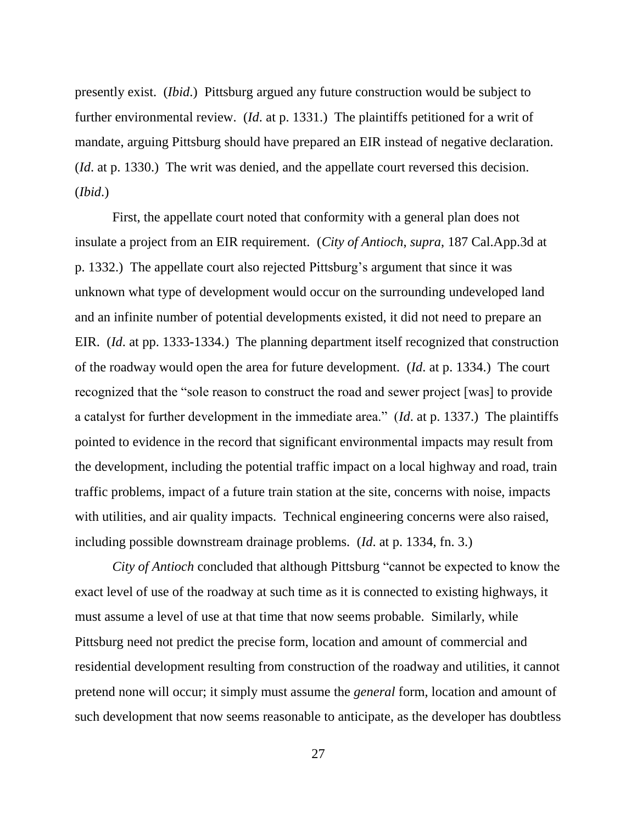presently exist. (*Ibid*.) Pittsburg argued any future construction would be subject to further environmental review. (*Id*. at p. 1331.) The plaintiffs petitioned for a writ of mandate, arguing Pittsburg should have prepared an EIR instead of negative declaration. (*Id*. at p. 1330.) The writ was denied, and the appellate court reversed this decision. (*Ibid*.)

First, the appellate court noted that conformity with a general plan does not insulate a project from an EIR requirement. (*City of Antioch*, *supra*, 187 Cal.App.3d at p. 1332.) The appellate court also rejected Pittsburg's argument that since it was unknown what type of development would occur on the surrounding undeveloped land and an infinite number of potential developments existed, it did not need to prepare an EIR. (*Id*. at pp. 1333-1334.) The planning department itself recognized that construction of the roadway would open the area for future development. (*Id*. at p. 1334.) The court recognized that the "sole reason to construct the road and sewer project [was] to provide a catalyst for further development in the immediate area." (*Id*. at p. 1337.) The plaintiffs pointed to evidence in the record that significant environmental impacts may result from the development, including the potential traffic impact on a local highway and road, train traffic problems, impact of a future train station at the site, concerns with noise, impacts with utilities, and air quality impacts. Technical engineering concerns were also raised, including possible downstream drainage problems. (*Id*. at p. 1334, fn. 3.)

*City of Antioch* concluded that although Pittsburg "cannot be expected to know the exact level of use of the roadway at such time as it is connected to existing highways, it must assume a level of use at that time that now seems probable. Similarly, while Pittsburg need not predict the precise form, location and amount of commercial and residential development resulting from construction of the roadway and utilities, it cannot pretend none will occur; it simply must assume the *general* form, location and amount of such development that now seems reasonable to anticipate, as the developer has doubtless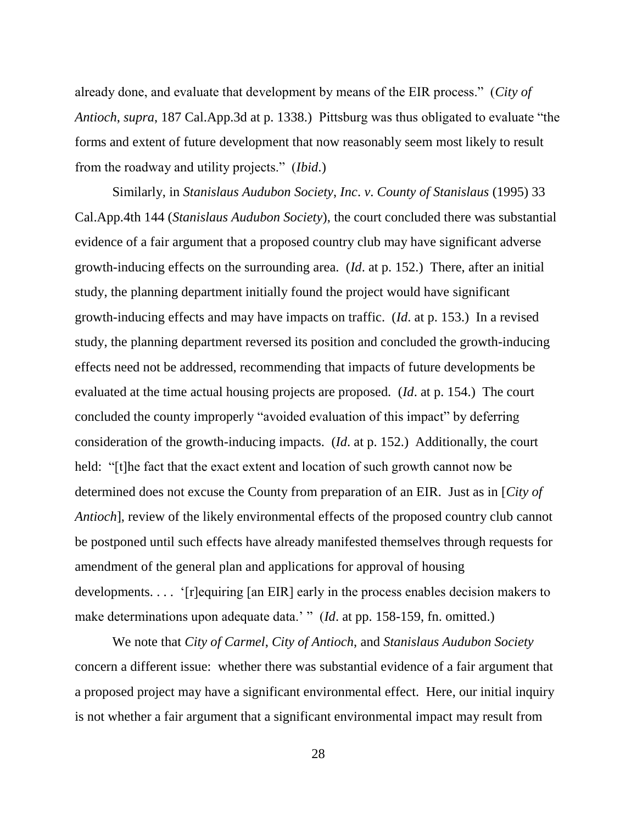already done, and evaluate that development by means of the EIR process." (*City of Antioch*, *supra*, 187 Cal.App.3d at p. 1338.) Pittsburg was thus obligated to evaluate "the forms and extent of future development that now reasonably seem most likely to result from the roadway and utility projects." (*Ibid*.)

Similarly, in *Stanislaus Audubon Society*, *Inc*. *v*. *County of Stanislaus* (1995) 33 Cal.App.4th 144 (*Stanislaus Audubon Society*), the court concluded there was substantial evidence of a fair argument that a proposed country club may have significant adverse growth-inducing effects on the surrounding area. (*Id*. at p. 152.) There, after an initial study, the planning department initially found the project would have significant growth-inducing effects and may have impacts on traffic. (*Id*. at p. 153.) In a revised study, the planning department reversed its position and concluded the growth-inducing effects need not be addressed, recommending that impacts of future developments be evaluated at the time actual housing projects are proposed. (*Id*. at p. 154.) The court concluded the county improperly "avoided evaluation of this impact" by deferring consideration of the growth-inducing impacts. (*Id*. at p. 152.) Additionally, the court held: "[t]he fact that the exact extent and location of such growth cannot now be determined does not excuse the County from preparation of an EIR. Just as in [*City of Antioch*], review of the likely environmental effects of the proposed country club cannot be postponed until such effects have already manifested themselves through requests for amendment of the general plan and applications for approval of housing developments. . . . '[r]equiring [an EIR] early in the process enables decision makers to make determinations upon adequate data.' " (*Id.* at pp. 158-159, fn. omitted.)

We note that *City of Carmel*, *City of Antioch*, and *Stanislaus Audubon Society* concern a different issue: whether there was substantial evidence of a fair argument that a proposed project may have a significant environmental effect. Here, our initial inquiry is not whether a fair argument that a significant environmental impact may result from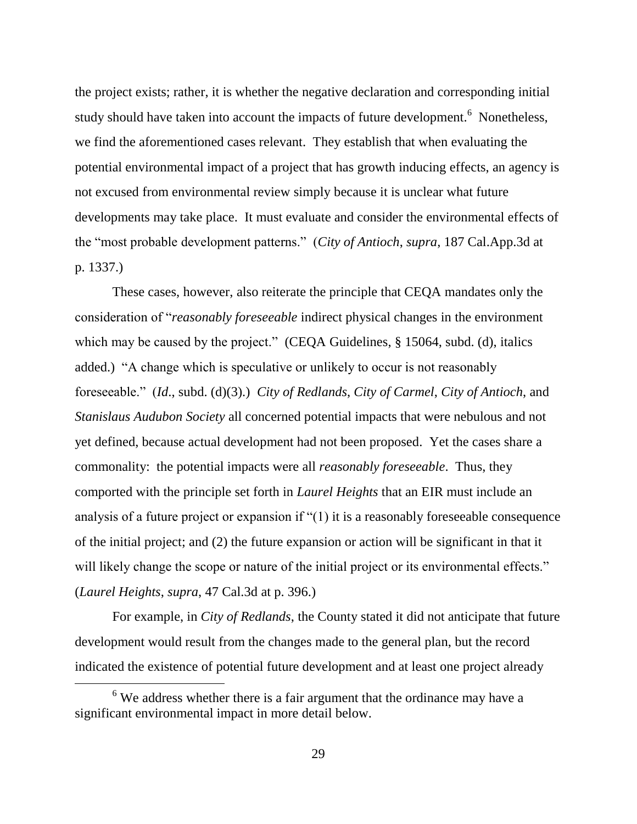the project exists; rather, it is whether the negative declaration and corresponding initial study should have taken into account the impacts of future development.<sup>6</sup> Nonetheless, we find the aforementioned cases relevant. They establish that when evaluating the potential environmental impact of a project that has growth inducing effects, an agency is not excused from environmental review simply because it is unclear what future developments may take place. It must evaluate and consider the environmental effects of the "most probable development patterns." (*City of Antioch*, *supra*, 187 Cal.App.3d at p. 1337.)

These cases, however, also reiterate the principle that CEQA mandates only the consideration of "*reasonably foreseeable* indirect physical changes in the environment which may be caused by the project." (CEQA Guidelines, § 15064, subd. (d), italics added.) "A change which is speculative or unlikely to occur is not reasonably foreseeable." (*Id*., subd. (d)(3).) *City of Redlands*, *City of Carmel*, *City of Antioch*, and *Stanislaus Audubon Society* all concerned potential impacts that were nebulous and not yet defined, because actual development had not been proposed. Yet the cases share a commonality: the potential impacts were all *reasonably foreseeable*. Thus, they comported with the principle set forth in *Laurel Heights* that an EIR must include an analysis of a future project or expansion if "(1) it is a reasonably foreseeable consequence of the initial project; and (2) the future expansion or action will be significant in that it will likely change the scope or nature of the initial project or its environmental effects." (*Laurel Heights*, *supra*, 47 Cal.3d at p. 396.)

For example, in *City of Redlands*, the County stated it did not anticipate that future development would result from the changes made to the general plan, but the record indicated the existence of potential future development and at least one project already

 $6$  We address whether there is a fair argument that the ordinance may have a significant environmental impact in more detail below.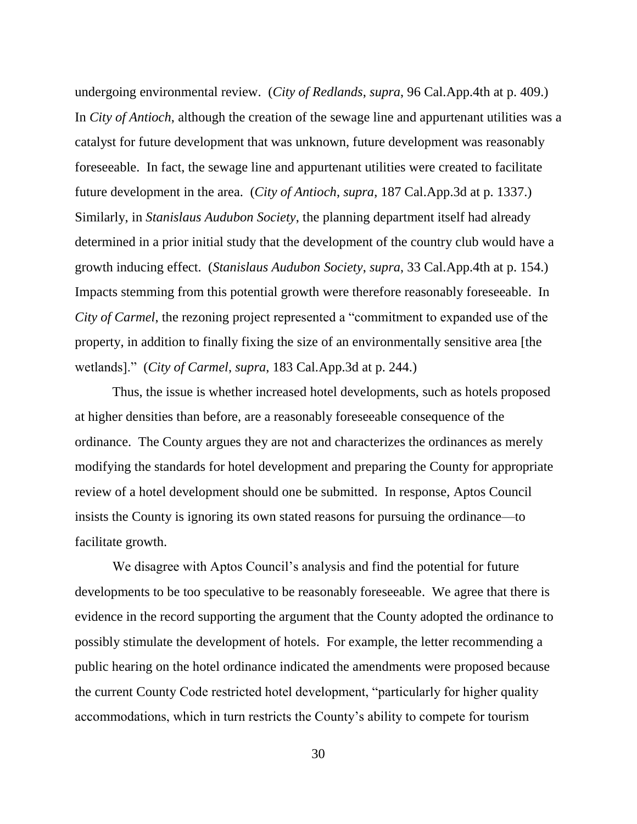undergoing environmental review. (*City of Redlands*, *supra*, 96 Cal.App.4th at p. 409.) In *City of Antioch*, although the creation of the sewage line and appurtenant utilities was a catalyst for future development that was unknown, future development was reasonably foreseeable. In fact, the sewage line and appurtenant utilities were created to facilitate future development in the area. (*City of Antioch*, *supra*, 187 Cal.App.3d at p. 1337.) Similarly, in *Stanislaus Audubon Society*, the planning department itself had already determined in a prior initial study that the development of the country club would have a growth inducing effect. (*Stanislaus Audubon Society*, *supra*, 33 Cal.App.4th at p. 154.) Impacts stemming from this potential growth were therefore reasonably foreseeable. In *City of Carmel*, the rezoning project represented a "commitment to expanded use of the property, in addition to finally fixing the size of an environmentally sensitive area [the wetlands]." (*City of Carmel*, *supra*, 183 Cal.App.3d at p. 244.)

Thus, the issue is whether increased hotel developments, such as hotels proposed at higher densities than before, are a reasonably foreseeable consequence of the ordinance. The County argues they are not and characterizes the ordinances as merely modifying the standards for hotel development and preparing the County for appropriate review of a hotel development should one be submitted. In response, Aptos Council insists the County is ignoring its own stated reasons for pursuing the ordinance—to facilitate growth.

We disagree with Aptos Council's analysis and find the potential for future developments to be too speculative to be reasonably foreseeable. We agree that there is evidence in the record supporting the argument that the County adopted the ordinance to possibly stimulate the development of hotels. For example, the letter recommending a public hearing on the hotel ordinance indicated the amendments were proposed because the current County Code restricted hotel development, "particularly for higher quality accommodations, which in turn restricts the County's ability to compete for tourism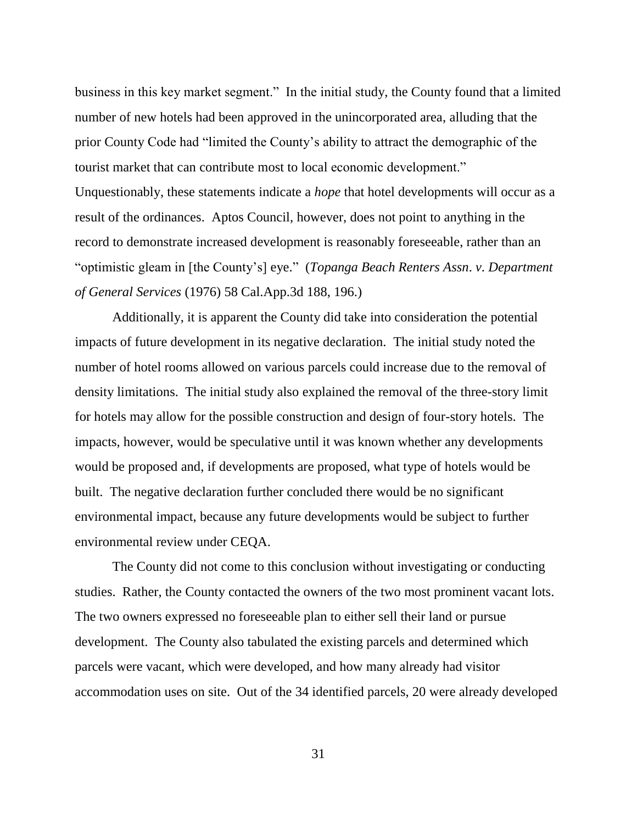business in this key market segment." In the initial study, the County found that a limited number of new hotels had been approved in the unincorporated area, alluding that the prior County Code had "limited the County's ability to attract the demographic of the tourist market that can contribute most to local economic development." Unquestionably, these statements indicate a *hope* that hotel developments will occur as a result of the ordinances. Aptos Council, however, does not point to anything in the record to demonstrate increased development is reasonably foreseeable, rather than an "optimistic gleam in [the County's] eye." (*Topanga Beach Renters Assn*. *v*. *Department of General Services* (1976) 58 Cal.App.3d 188, 196.)

Additionally, it is apparent the County did take into consideration the potential impacts of future development in its negative declaration. The initial study noted the number of hotel rooms allowed on various parcels could increase due to the removal of density limitations. The initial study also explained the removal of the three-story limit for hotels may allow for the possible construction and design of four-story hotels. The impacts, however, would be speculative until it was known whether any developments would be proposed and, if developments are proposed, what type of hotels would be built. The negative declaration further concluded there would be no significant environmental impact, because any future developments would be subject to further environmental review under CEQA.

The County did not come to this conclusion without investigating or conducting studies. Rather, the County contacted the owners of the two most prominent vacant lots. The two owners expressed no foreseeable plan to either sell their land or pursue development. The County also tabulated the existing parcels and determined which parcels were vacant, which were developed, and how many already had visitor accommodation uses on site. Out of the 34 identified parcels, 20 were already developed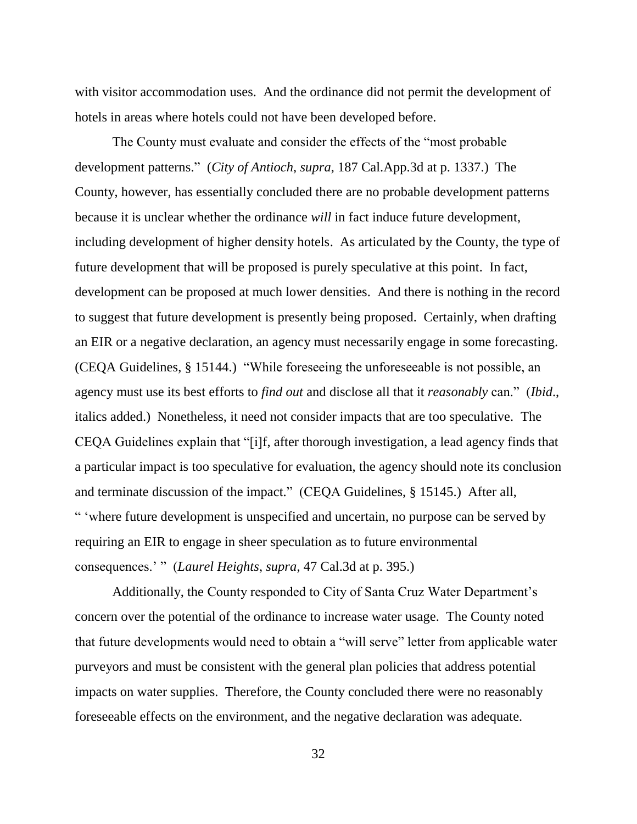with visitor accommodation uses. And the ordinance did not permit the development of hotels in areas where hotels could not have been developed before.

The County must evaluate and consider the effects of the "most probable development patterns." (*City of Antioch*, *supra*, 187 Cal.App.3d at p. 1337.) The County, however, has essentially concluded there are no probable development patterns because it is unclear whether the ordinance *will* in fact induce future development, including development of higher density hotels. As articulated by the County, the type of future development that will be proposed is purely speculative at this point. In fact, development can be proposed at much lower densities. And there is nothing in the record to suggest that future development is presently being proposed. Certainly, when drafting an EIR or a negative declaration, an agency must necessarily engage in some forecasting. (CEQA Guidelines, § 15144.) "While foreseeing the unforeseeable is not possible, an agency must use its best efforts to *find out* and disclose all that it *reasonably* can." (*Ibid*., italics added.) Nonetheless, it need not consider impacts that are too speculative. The CEQA Guidelines explain that "[i]f, after thorough investigation, a lead agency finds that a particular impact is too speculative for evaluation, the agency should note its conclusion and terminate discussion of the impact." (CEQA Guidelines, § 15145.) After all, " 'where future development is unspecified and uncertain, no purpose can be served by requiring an EIR to engage in sheer speculation as to future environmental consequences.' " (*Laurel Heights*, *supra*, 47 Cal.3d at p. 395.)

Additionally, the County responded to City of Santa Cruz Water Department's concern over the potential of the ordinance to increase water usage. The County noted that future developments would need to obtain a "will serve" letter from applicable water purveyors and must be consistent with the general plan policies that address potential impacts on water supplies. Therefore, the County concluded there were no reasonably foreseeable effects on the environment, and the negative declaration was adequate.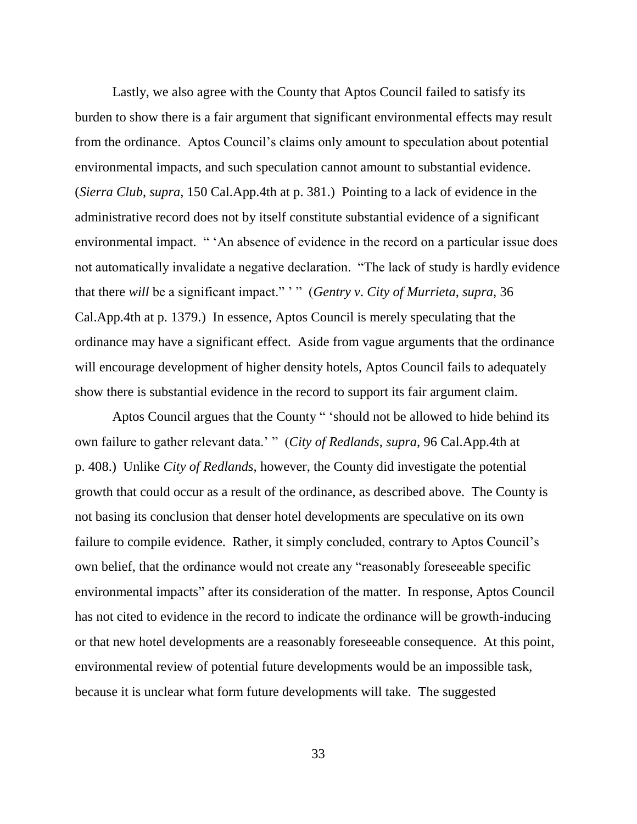Lastly, we also agree with the County that Aptos Council failed to satisfy its burden to show there is a fair argument that significant environmental effects may result from the ordinance. Aptos Council's claims only amount to speculation about potential environmental impacts, and such speculation cannot amount to substantial evidence. (*Sierra Club*, *supra*, 150 Cal.App.4th at p. 381.) Pointing to a lack of evidence in the administrative record does not by itself constitute substantial evidence of a significant environmental impact. " 'An absence of evidence in the record on a particular issue does not automatically invalidate a negative declaration. "The lack of study is hardly evidence that there *will* be a significant impact." ' " (*Gentry v*. *City of Murrieta*, *supra*, 36 Cal.App.4th at p. 1379.) In essence, Aptos Council is merely speculating that the ordinance may have a significant effect. Aside from vague arguments that the ordinance will encourage development of higher density hotels, Aptos Council fails to adequately show there is substantial evidence in the record to support its fair argument claim.

Aptos Council argues that the County " 'should not be allowed to hide behind its own failure to gather relevant data.' " (*City of Redlands*, *supra*, 96 Cal.App.4th at p. 408.) Unlike *City of Redlands*, however, the County did investigate the potential growth that could occur as a result of the ordinance, as described above. The County is not basing its conclusion that denser hotel developments are speculative on its own failure to compile evidence. Rather, it simply concluded, contrary to Aptos Council's own belief, that the ordinance would not create any "reasonably foreseeable specific environmental impacts" after its consideration of the matter. In response, Aptos Council has not cited to evidence in the record to indicate the ordinance will be growth-inducing or that new hotel developments are a reasonably foreseeable consequence. At this point, environmental review of potential future developments would be an impossible task, because it is unclear what form future developments will take. The suggested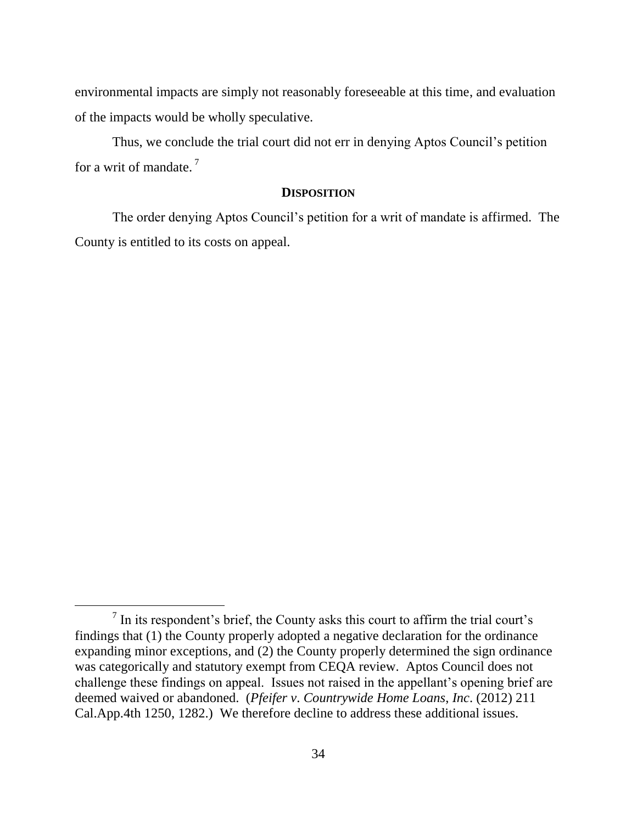environmental impacts are simply not reasonably foreseeable at this time, and evaluation of the impacts would be wholly speculative.

Thus, we conclude the trial court did not err in denying Aptos Council's petition for a writ of mandate.  $7\frac{1}{2}$ 

#### **DISPOSITION**

The order denying Aptos Council's petition for a writ of mandate is affirmed. The County is entitled to its costs on appeal.

 $\overline{a}$ 

 $<sup>7</sup>$  In its respondent's brief, the County asks this court to affirm the trial court's</sup> findings that (1) the County properly adopted a negative declaration for the ordinance expanding minor exceptions, and (2) the County properly determined the sign ordinance was categorically and statutory exempt from CEQA review. Aptos Council does not challenge these findings on appeal. Issues not raised in the appellant's opening brief are deemed waived or abandoned. (*Pfeifer v*. *Countrywide Home Loans*, *Inc*. (2012) 211 Cal.App.4th 1250, 1282.) We therefore decline to address these additional issues.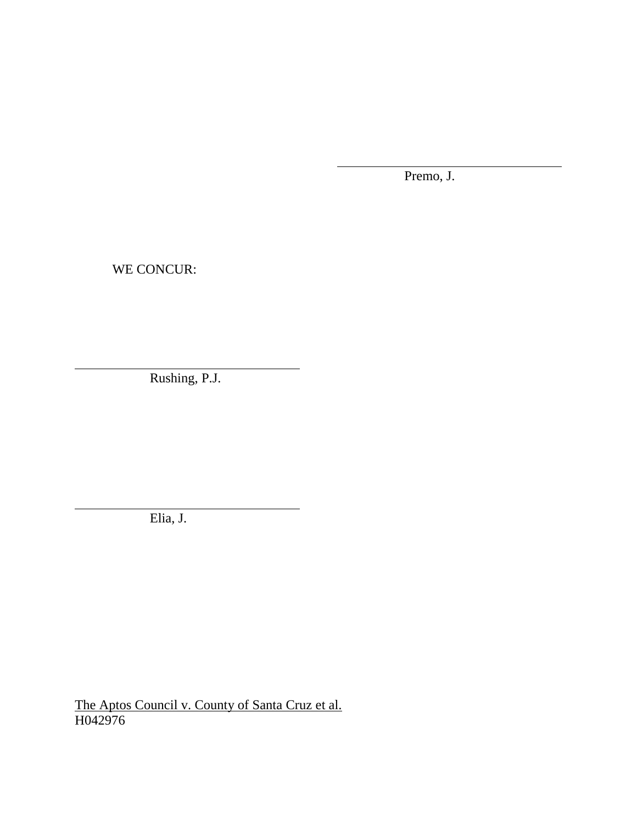Premo, J.

WE CONCUR:

Rushing, P.J.

Elia, J.

The Aptos Council v. County of Santa Cruz et al. H042976